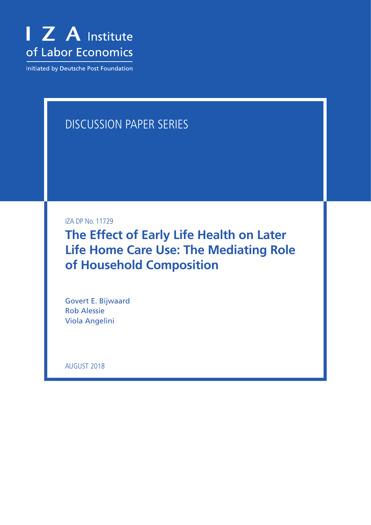

**Initiated by Deutsche Post Foundation** 

# DISCUSSION PAPER SERIES

IZA DP No. 11729

**The Effect of Early Life Health on Later Life Home Care Use: The Mediating Role of Household Composition**

Govert E. Bijwaard Rob Alessie Viola Angelini

AUGUST 2018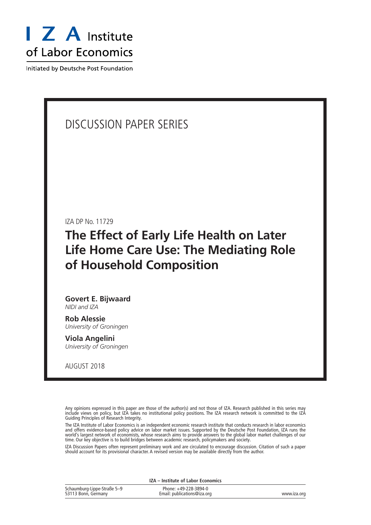

Initiated by Deutsche Post Foundation

## DISCUSSION PAPER SERIES

IZA DP No. 11729

## **The Effect of Early Life Health on Later Life Home Care Use: The Mediating Role of Household Composition**

**Govert E. Bijwaard** *NIDI and IZA*

**Rob Alessie** *University of Groningen*

**Viola Angelini** *University of Groningen*

AUGUST 2018

Any opinions expressed in this paper are those of the author(s) and not those of IZA. Research published in this series may include views on policy, but IZA takes no institutional policy positions. The IZA research network is committed to the IZA Guiding Principles of Research Integrity.

The IZA Institute of Labor Economics is an independent economic research institute that conducts research in labor economics and offers evidence-based policy advice on labor market issues. Supported by the Deutsche Post Foundation, IZA runs the world's largest network of economists, whose research aims to provide answers to the global labor market challenges of our time. Our key objective is to build bridges between academic research, policymakers and society.

IZA Discussion Papers often represent preliminary work and are circulated to encourage discussion. Citation of such a paper should account for its provisional character. A revised version may be available directly from the author.

|                                                    | IZA – Institute of Labor Economics                   |             |
|----------------------------------------------------|------------------------------------------------------|-------------|
| Schaumburg-Lippe-Straße 5-9<br>53113 Bonn, Germany | Phone: +49-228-3894-0<br>Email: publications@iza.org | www.iza.org |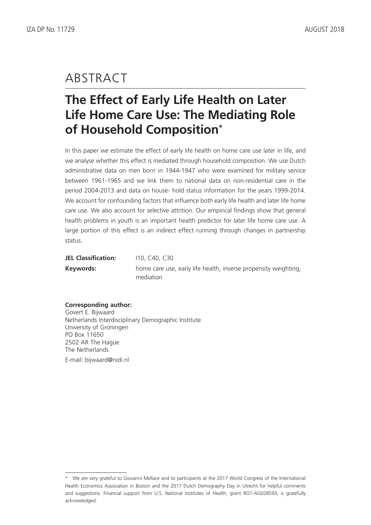## ABSTRACT

# **The Effect of Early Life Health on Later Life Home Care Use: The Mediating Role of Household Composition\***

In this paper we estimate the effect of early life health on home care use later in life, and we analyse whether this effect is mediated through household composition. We use Dutch administrative data on men born in 1944-1947 who were examined for military service between 1961-1965 and we link them to national data on non-residential care in the period 2004-2013 and data on house- hold status information for the years 1999-2014. We account for confounding factors that influence both early life health and later life home care use. We also account for selective attrition. Our empirical findings show that general health problems in youth is an important health predictor for later life home care use. A large portion of this effect is an indirect effect running through changes in partnership status.

| <b>JEL Classification:</b> | 110, C40, C30                                                   |
|----------------------------|-----------------------------------------------------------------|
| Keywords:                  | home care use, early life health, inverse propensity weighting, |
|                            | mediation                                                       |

### **Corresponding author:**

Govert E. Bijwaard Netherlands Interdisciplinary Demographic Institute University of Groningen PO Box 11650 2502 AR The Hague The Netherlands E-mail: bijwaard@nidi.nl

<sup>\*</sup> We are very grateful to Giovanni Mellace and to participants at the 2017 World Congress of the International Health Economics Association in Boston and the 2017 Dutch Demography Day in Utrecht for helpful comments and suggestions. Financial support from U.S. National Institutes of Health, grant RO1-AG028593, is gratefully acknowledged.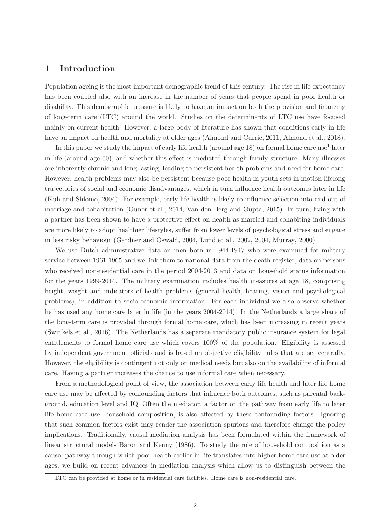## 1 Introduction

Population ageing is the most important demographic trend of this century. The rise in life expectancy has been coupled also with an increase in the number of years that people spend in poor health or disability. This demographic pressure is likely to have an impact on both the provision and financing of long-term care (LTC) around the world. Studies on the determinants of LTC use have focused mainly on current health. However, a large body of literature has shown that conditions early in life have an impact on health and mortality at older ages (Almond and Currie, 2011, Almond et al., 2018).

In this paper we study the impact of early life health (around age 18) on formal home care use<sup>1</sup> later in life (around age 60), and whether this effect is mediated through family structure. Many illnesses are inherently chronic and long lasting, leading to persistent health problems and need for home care. However, health problems may also be persistent because poor health in youth sets in motion lifelong trajectories of social and economic disadvantages, which in turn influence health outcomes later in life (Kuh and Shlomo, 2004). For example, early life health is likely to influence selection into and out of marriage and cohabitation (Guner et al., 2014, Van den Berg and Gupta, 2015). In turn, living with a partner has been shown to have a protective effect on health as married and cohabiting individuals are more likely to adopt healthier lifestyles, suffer from lower levels of psychological stress and engage in less risky behaviour (Gardner and Oswald, 2004, Lund et al., 2002, 2004, Murray, 2000).

We use Dutch administrative data on men born in 1944-1947 who were examined for military service between 1961-1965 and we link them to national data from the death register, data on persons who received non-residential care in the period 2004-2013 and data on household status information for the years 1999-2014. The military examination includes health measures at age 18, comprising height, weight and indicators of health problems (general health, hearing, vision and psychological problems), in addition to socio-economic information. For each individual we also observe whether he has used any home care later in life (in the years 2004-2014). In the Netherlands a large share of the long-term care is provided through formal home care, which has been increasing in recent years (Swinkels et al., 2016). The Netherlands has a separate mandatory public insurance system for legal entitlements to formal home care use which covers 100% of the population. Eligibility is assessed by independent government officials and is based on objective eligibility rules that are set centrally. However, the eligibility is contingent not only on medical needs but also on the availability of informal care. Having a partner increases the chance to use informal care when necessary.

From a methodological point of view, the association between early life health and later life home care use may be affected by confounding factors that influence both outcomes, such as parental background, education level and IQ. Often the mediator, a factor on the pathway from early life to later life home care use, household composition, is also affected by these confounding factors. Ignoring that such common factors exist may render the association spurious and therefore change the policy implications. Traditionally, causal mediation analysis has been formulated within the framework of linear structural models Baron and Kenny (1986). To study the role of household composition as a causal pathway through which poor health earlier in life translates into higher home care use at older ages, we build on recent advances in mediation analysis which allow us to distinguish between the

 ${}^{1}$ LTC can be provided at home or in residential care facilities. Home care is non-residential care.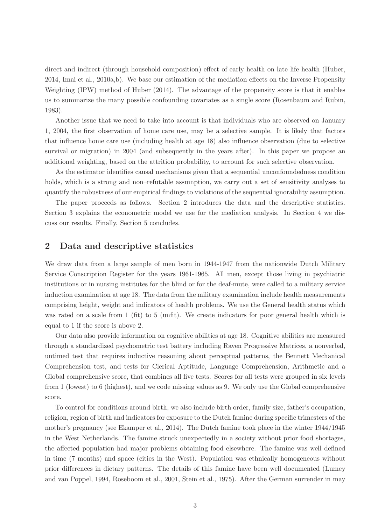direct and indirect (through household composition) effect of early health on late life health (Huber, 2014, Imai et al., 2010a,b). We base our estimation of the mediation effects on the Inverse Propensity Weighting (IPW) method of Huber (2014). The advantage of the propensity score is that it enables us to summarize the many possible confounding covariates as a single score (Rosenbaum and Rubin, 1983).

Another issue that we need to take into account is that individuals who are observed on January 1, 2004, the first observation of home care use, may be a selective sample. It is likely that factors that influence home care use (including health at age 18) also influence observation (due to selective survival or migration) in 2004 (and subsequently in the years after). In this paper we propose an additional weighting, based on the attrition probability, to account for such selective observation.

As the estimator identifies causal mechanisms given that a sequential unconfoundedness condition holds, which is a strong and non–refutable assumption, we carry out a set of sensitivity analyses to quantify the robustness of our empirical findings to violations of the sequential ignorability assumption.

The paper proceeds as follows. Section 2 introduces the data and the descriptive statistics. Section 3 explains the econometric model we use for the mediation analysis. In Section 4 we discuss our results. Finally, Section 5 concludes.

## 2 Data and descriptive statistics

We draw data from a large sample of men born in 1944-1947 from the nationwide Dutch Military Service Conscription Register for the years 1961-1965. All men, except those living in psychiatric institutions or in nursing institutes for the blind or for the deaf-mute, were called to a military service induction examination at age 18. The data from the military examination include health measurements comprising height, weight and indicators of health problems. We use the General health status which was rated on a scale from 1 (fit) to 5 (unfit). We create indicators for poor general health which is equal to 1 if the score is above 2.

Our data also provide information on cognitive abilities at age 18. Cognitive abilities are measured through a standardized psychometric test battery including Raven Progressive Matrices, a nonverbal, untimed test that requires inductive reasoning about perceptual patterns, the Bennett Mechanical Comprehension test, and tests for Clerical Aptitude, Language Comprehension, Arithmetic and a Global comprehensive score, that combines all five tests. Scores for all tests were grouped in six levels from 1 (lowest) to 6 (highest), and we code missing values as 9. We only use the Global comprehensive score.

To control for conditions around birth, we also include birth order, family size, father's occupation, religion, region of birth and indicators for exposure to the Dutch famine during specific trimesters of the mother's pregnancy (see Ekamper et al., 2014). The Dutch famine took place in the winter 1944/1945 in the West Netherlands. The famine struck unexpectedly in a society without prior food shortages, the affected population had major problems obtaining food elsewhere. The famine was well defined in time (7 months) and space (cities in the West). Population was ethnically homogeneous without prior differences in dietary patterns. The details of this famine have been well documented (Lumey and van Poppel, 1994, Roseboom et al., 2001, Stein et al., 1975). After the German surrender in may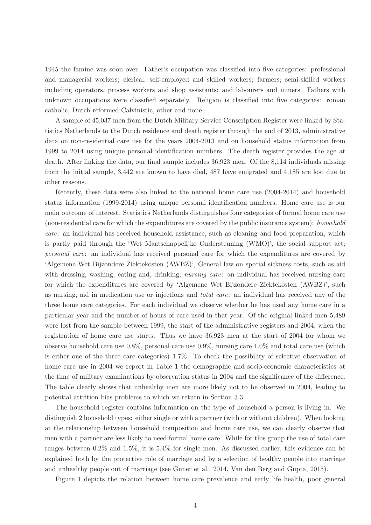1945 the famine was soon over. Father's occupation was classified into five categories: professional and managerial workers; clerical, self-employed and skilled workers; farmers; semi-skilled workers including operators, process workers and shop assistants; and labourers and miners. Fathers with unknown occupations were classified separately. Religion is classified into five categories: roman catholic, Dutch reformed Calvinistic, other and none.

A sample of 45,037 men from the Dutch Military Service Conscription Register were linked by Statistics Netherlands to the Dutch residence and death register through the end of 2013, administrative data on non-residential care use for the years 2004-2013 and on household status information from 1999 to 2014 using unique personal identification numbers. The death register provides the age at death. After linking the data, our final sample includes 36,923 men. Of the 8,114 individuals missing from the initial sample, 3,442 are known to have died, 487 have emigrated and 4,185 are lost due to other reasons.

Recently, these data were also linked to the national home care use (2004-2014) and household status information (1999-2014) using unique personal identification numbers. Home care use is our main outcome of interest. Statistics Netherlands distinguishes four categories of formal home care use (non-residential care for which the expenditures are covered by the public insurance system): household care: an individual has received household assistance, such as cleaning and food preparation, which is partly paid through the 'Wet Maatschappelijke Ondersteuning (WMO)', the social support act; personal care: an individual has received personal care for which the expenditures are covered by 'Algemene Wet Bijzondere Ziektekosten (AWBZ)', General law on special sickness costs, such as aid with dressing, washing, eating and, drinking; *nursing care*: an individual has received nursing care for which the expenditures are covered by 'Algemene Wet Bijzondere Ziektekosten (AWBZ)', such as nursing, aid in medication use or injections and total care: an individual has received any of the three home care categories. For each individual we observe whether he has used any home care in a particular year and the number of hours of care used in that year. Of the original linked men 5,489 were lost from the sample between 1999, the start of the administrative registers and 2004, when the registration of home care use starts. Thus we have 36,923 men at the start of 2004 for whom we observe household care use 0.8%, personal care use 0.9%, nursing care 1.0% and total care use (which is either one of the three care categories) 1.7%. To check the possibility of selective observation of home care use in 2004 we report in Table 1 the demographic and socio-economic characteristics at the time of military examinations by observation status in 2004 and the significance of the difference. The table clearly shows that unhealthy men are more likely not to be observed in 2004, leading to potential attrition bias problems to which we return in Section 3.3.

The household register contains information on the type of household a person is living in. We distinguish 2 household types: either single or with a partner (with or without children). When looking at the relationship between household composition and home care use, we can clearly observe that men with a partner are less likely to need formal home care. While for this group the use of total care ranges between 0.2% and 1.5%, it is 5.4% for single men. As discussed earlier, this evidence can be explained both by the protective role of marriage and by a selection of healthy people into marriage and unhealthy people out of marriage (see Guner et al., 2014, Van den Berg and Gupta, 2015).

Figure 1 depicts the relation between home care prevalence and early life health, poor general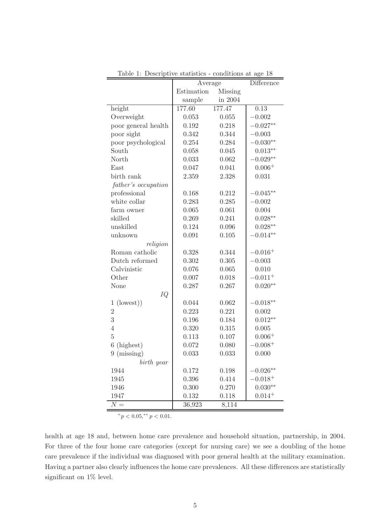|                              | Average    | $\overline{\text{Difference}}$ |            |
|------------------------------|------------|--------------------------------|------------|
|                              | Estimation | Missing                        |            |
|                              | sample     | in 2004                        |            |
| height                       | 177.60     | 177.47                         | 0.13       |
| Overweight                   | 0.053      | 0.055                          | $-0.002$   |
| poor general health          | 0.192      | 0.218                          | $-0.027**$ |
| poor sight                   | 0.342      | 0.344                          | $-0.003$   |
| poor psychological           | 0.254      | 0.284                          | $-0.030**$ |
| South                        | 0.058      | 0.045                          | $0.013**$  |
| North                        | 0.033      | 0.062                          | $-0.029**$ |
| East                         | 0.047      | 0.041                          | $0.006+$   |
| birth rank                   | 2.359      | 2.328                          | 0.031      |
| father's occupation          |            |                                |            |
| professional                 | 0.168      | 0.212                          | $-0.045**$ |
| white collar                 | 0.283      | 0.285                          | $-0.002$   |
| farm owner                   | 0.065      | 0.061                          | 0.004      |
| skilled                      | 0.269      | 0.241                          | $0.028**$  |
| unskilled                    | 0.124      | 0.096                          | $0.028**$  |
| unknown                      | 0.091      | 0.105                          | $-0.014**$ |
| religion                     |            |                                |            |
| Roman catholic               | 0.328      | 0.344                          | $-0.016+$  |
| Dutch reformed               | 0.302      | 0.305                          | $-0.003$   |
| Calvinistic                  | 0.076      | 0.065                          | 0.010      |
| Other                        | 0.007      | 0.018                          | $-0.011 +$ |
| None                         | 0.287      | 0.267                          | $0.020**$  |
| IQ                           |            |                                |            |
| (lowest))<br>1               | 0.044      | 0.062                          | $-0.018**$ |
| $\overline{2}$               | 0.223      | 0.221                          | 0.002      |
| 3                            | 0.196      | 0.184                          | $0.012**$  |
| $\overline{4}$               | 0.320      | 0.315                          | 0.005      |
| $\overline{5}$               | 0.113      | 0.107                          | $0.006+$   |
| $6\phantom{.}6$<br>(highest) | 0.072      | 0.080                          | $0.008 +$  |
| (missing)<br>9               | 0.033      | 0.033                          | 0.000      |
| birth year                   |            |                                |            |
| 1944                         | 0.172      | 0.198                          | $-0.026**$ |
| 1945                         | 0.396      | 0.414                          | $-0.018+$  |
| 1946                         | 0.300      | 0.270                          | $0.030**$  |
| 1947                         | 0.132      | 0.118                          | $0.014 +$  |
| $\overline{N} =$             | 36,923     | 8,114                          |            |

Table 1: Descriptive statistics - conditions at age 18

 $^{+}p$  < 0.05,\*\*  $p$  < 0.01.

health at age 18 and, between home care prevalence and household situation, partnership, in 2004. For three of the four home care categories (except for nursing care) we see a doubling of the home care prevalence if the individual was diagnosed with poor general health at the military examination. Having a partner also clearly influences the home care prevalences. All these differences are statistically significant on 1% level.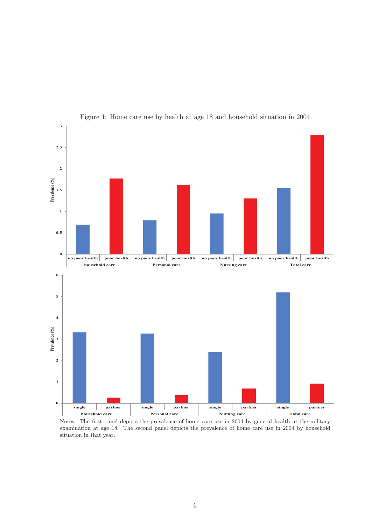

Figure 1: Home care use by health at age 18 and household situation in 2004

Notes. The first panel depicts the prevalence of home care use in 2004 by general health at the military examination at age 18. The second panel depicts the prevalence of home care use in 2004 by household situation in that year.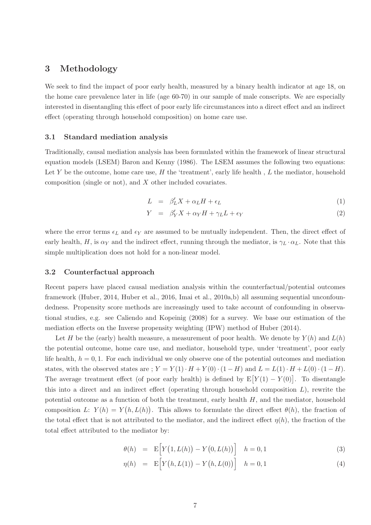## 3 Methodology

We seek to find the impact of poor early health, measured by a binary health indicator at age 18, on the home care prevalence later in life (age 60-70) in our sample of male conscripts. We are especially interested in disentangling this effect of poor early life circumstances into a direct effect and an indirect effect (operating through household composition) on home care use.

#### 3.1 Standard mediation analysis

Traditionally, causal mediation analysis has been formulated within the framework of linear structural equation models (LSEM) Baron and Kenny (1986). The LSEM assumes the following two equations: Let Y be the outcome, home care use, H the 'treatment', early life health, L the mediator, household composition (single or not), and X other included covariates.

$$
L = \beta_L' X + \alpha_L H + \epsilon_L \tag{1}
$$

$$
Y = \beta'_{Y} X + \alpha_{Y} H + \gamma_{L} L + \epsilon_{Y}
$$
\n<sup>(2)</sup>

where the error terms  $\epsilon_L$  and  $\epsilon_Y$  are assumed to be mutually independent. Then, the direct effect of early health, H, is  $\alpha_Y$  and the indirect effect, running through the mediator, is  $\gamma_L \cdot \alpha_L$ . Note that this simple multiplication does not hold for a non-linear model.

#### 3.2 Counterfactual approach

Recent papers have placed causal mediation analysis within the counterfactual/potential outcomes framework (Huber, 2014, Huber et al., 2016, Imai et al., 2010a,b) all assuming sequential unconfoundedness. Propensity score methods are increasingly used to take account of confounding in observational studies, e.g. see Caliendo and Kopeinig (2008) for a survey. We base our estimation of the mediation effects on the Inverse propensity weighting (IPW) method of Huber (2014).

Let H be the (early) health measure, a measurement of poor health. We denote by  $Y(h)$  and  $L(h)$ the potential outcome, home care use, and mediator, household type, under 'treatment', poor early life health,  $h = 0, 1$ . For each individual we only observe one of the potential outcomes and mediation states, with the observed states are ;  $Y = Y(1) \cdot H + Y(0) \cdot (1 - H)$  and  $L = L(1) \cdot H + L(0) \cdot (1 - H)$ . The average treatment effect (of poor early health) is defined by  $E[Y(1) - Y(0)]$ . To disentangle this into a direct and an indirect effect (operating through household composition  $L$ ), rewrite the potential outcome as a function of both the treatment, early health  $H$ , and the mediator, household composition L:  $Y(h) = Y(h, L(h))$ . This allows to formulate the direct effect  $\theta(h)$ , the fraction of the total effect that is not attributed to the mediator, and the indirect effect  $\eta(h)$ , the fraction of the total effect attributed to the mediator by:

$$
\theta(h) = \mathbb{E}\Big[Y\big(1, L(h)\big) - Y\big(0, L(h)\big)\Big] \quad h = 0, 1 \tag{3}
$$

$$
\eta(h) = \mathbb{E}\Big[Y(h, L(1)) - Y(h, L(0))\Big] \quad h = 0, 1 \tag{4}
$$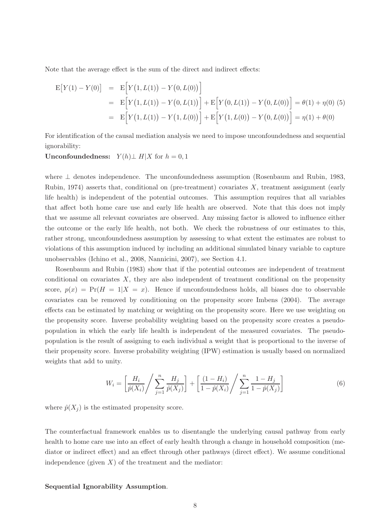Note that the average effect is the sum of the direct and indirect effects:

$$
E[Y(1) - Y(0)] = E[Y(1, L(1)) - Y(0, L(0))]
$$
  
= 
$$
E[Y(1, L(1)) - Y(0, L(1))] + E[Y(0, L(1)) - Y(0, L(0))] = \theta(1) + \eta(0)
$$
 (5)  
= 
$$
E[Y(1, L(1)) - Y(1, L(0))] + E[Y(1, L(0)) - Y(0, L(0))] = \eta(1) + \theta(0)
$$

For identification of the causal mediation analysis we need to impose unconfoundedness and sequential ignorability:

Unconfoundedness:  $Y(h)$ ⊥ H|X for  $h = 0, 1$ 

where ⊥ denotes independence. The unconfoundedness assumption (Rosenbaum and Rubin, 1983, Rubin, 1974) asserts that, conditional on (pre-treatment) covariates  $X$ , treatment assignment (early life health) is independent of the potential outcomes. This assumption requires that all variables that affect both home care use and early life health are observed. Note that this does not imply that we assume all relevant covariates are observed. Any missing factor is allowed to influence either the outcome or the early life health, not both. We check the robustness of our estimates to this, rather strong, unconfoundedness assumption by assessing to what extent the estimates are robust to violations of this assumption induced by including an additional simulated binary variable to capture unobservables (Ichino et al., 2008, Nannicini, 2007), see Section 4.1.

Rosenbaum and Rubin (1983) show that if the potential outcomes are independent of treatment conditional on covariates X, they are also independent of treatment conditional on the propensity score,  $p(x) = Pr(H = 1|X = x)$ . Hence if unconfoundedness holds, all biases due to observable covariates can be removed by conditioning on the propensity score Imbens (2004). The average effects can be estimated by matching or weighting on the propensity score. Here we use weighting on the propensity score. Inverse probability weighting based on the propensity score creates a pseudopopulation in which the early life health is independent of the measured covariates. The pseudopopulation is the result of assigning to each individual a weight that is proportional to the inverse of their propensity score. Inverse probability weighting (IPW) estimation is usually based on normalized weights that add to unity.

$$
W_i = \left[\frac{H_i}{\hat{p}(X_i)} / \sum_{j=1}^n \frac{H_j}{\hat{p}(X_j)}\right] + \left[\frac{(1 - H_i)}{1 - \hat{p}(X_i)} / \sum_{j=1}^n \frac{1 - H_j}{1 - \hat{p}(X_j)}\right]
$$
(6)

where  $\hat{p}(X_i)$  is the estimated propensity score.

The counterfactual framework enables us to disentangle the underlying causal pathway from early health to home care use into an effect of early health through a change in household composition (mediator or indirect effect) and an effect through other pathways (direct effect). We assume conditional independence (given  $X$ ) of the treatment and the mediator:

#### Sequential Ignorability Assumption.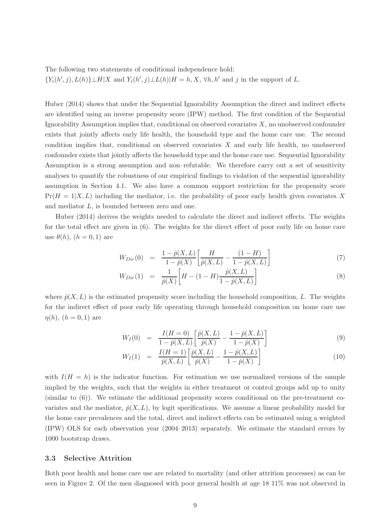The following two statements of conditional independence hold:  ${Y_i(h',j), L(h)}\perp H|X$  and  $Y_i(h',j)\perp L(h)|H=h,X, \forall h,h'$  and j in the support of L.

Huber (2014) shows that under the Sequential Ignorability Assumption the direct and indirect effects are identified using an inverse propensity score (IPW) method. The first condition of the Sequential Ignorability Assumption implies that, conditional on observed covariates  $X$ , no unobserved confounder exists that jointly affects early life health, the household type and the home care use. The second condition implies that, conditional on observed covariates X and early life health, no unobserved confounder exists that jointly affects the household type and the home care use. Sequential Ignorability Assumption is a strong assumption and non–refutable. We therefore carry out a set of sensitivity analyses to quantify the robustness of our empirical findings to violation of the sequential ignorability assumption in Section 4.1. We also have a common support restriction for the propensity score  $Pr(H = 1|X, L)$  including the mediator, i.e. the probability of poor early health given covariates X and mediator L, is bounded between zero and one.

Huber (2014) derives the weights needed to calculate the direct and indirect effects. The weights for the total effect are given in (6). The weights for the direct effect of poor early life on home care use  $\theta(h)$ ,  $(h = 0, 1)$  are

$$
W_{Dir}(0) = \frac{1 - \hat{p}(X, L)}{1 - \hat{p}(X)} \left[ \frac{H}{\hat{p}(X, L)} - \frac{(1 - H)}{1 - \hat{p}(X, L)} \right] \tag{7}
$$

$$
W_{Dir}(1) = \frac{1}{\hat{p}(X)} \bigg[ H - (1 - H) \frac{\hat{p}(X, L)}{1 - \hat{p}(X, L)} \bigg] \tag{8}
$$

where  $\hat{p}(X, L)$  is the estimated propensity score including the household composition, L. The weights for the indirect effect of poor early life operating through household composition on home care use  $\eta(h), (h = 0, 1)$  are

$$
W_I(0) = \frac{I(H=0)}{1 - \hat{p}(X, L)} \left[ \frac{\hat{p}(X, L)}{\hat{p}(X)} - \frac{1 - \hat{p}(X, L)}{1 - \hat{p}(X)} \right]
$$
(9)

$$
W_I(1) = \frac{I(H=1)}{\hat{p}(X,L)} \left[ \frac{\hat{p}(X,L)}{\hat{p}(X)} - \frac{1 - \hat{p}(X,L)}{1 - \hat{p}(X)} \right]
$$
(10)

with  $I(H = h)$  is the indicator function. For estimation we use normalized versions of the sample implied by the weights, such that the weights in either treatment or control groups add up to unity  $(\text{similar to } (6))$ . We estimate the additional propensity scores conditional on the pre-treatment covariates and the mediator,  $\hat{p}(X, L)$ , by logit specifications. We assume a linear probability model for the home care prevalences and the total, direct and indirect effects can be estimated using a weighted (IPW) OLS for each observation year (2004–2013) separately. We estimate the standard errors by 1000 bootstrap draws.

#### 3.3 Selective Attrition

Both poor health and home care use are related to mortality (and other attrition processes) as can be seen in Figure 2. Of the men diagnosed with poor general health at age 18 11% was not observed in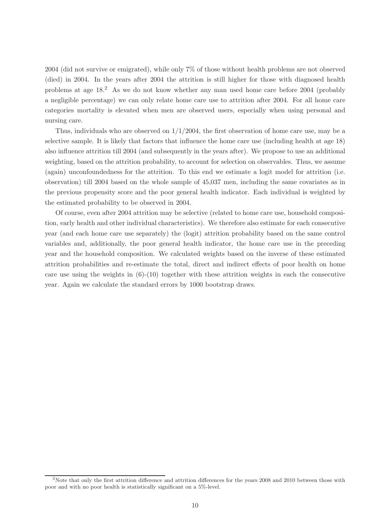2004 (did not survive or emigrated), while only 7% of those without health problems are not observed (died) in 2004. In the years after 2004 the attrition is still higher for those with diagnosed health problems at age 18.<sup>2</sup> As we do not know whether any man used home care before 2004 (probably a negligible percentage) we can only relate home care use to attrition after 2004. For all home care categories mortality is elevated when men are observed users, especially when using personal and nursing care.

Thus, individuals who are observed on  $1/1/2004$ , the first observation of home care use, may be a selective sample. It is likely that factors that influence the home care use (including health at age 18) also influence attrition till 2004 (and subsequently in the years after). We propose to use an additional weighting, based on the attrition probability, to account for selection on observables. Thus, we assume (again) unconfoundedness for the attrition. To this end we estimate a logit model for attrition (i.e. observation) till 2004 based on the whole sample of 45,037 men, including the same covariates as in the previous propensity score and the poor general health indicator. Each individual is weighted by the estimated probability to be observed in 2004.

Of course, even after 2004 attrition may be selective (related to home care use, household composition, early health and other individual characteristics). We therefore also estimate for each consecutive year (and each home care use separately) the (logit) attrition probability based on the same control variables and, additionally, the poor general health indicator, the home care use in the preceding year and the household composition. We calculated weights based on the inverse of these estimated attrition probabilities and re-estimate the total, direct and indirect effects of poor health on home care use using the weights in  $(6)-(10)$  together with these attrition weights in each the consecutive year. Again we calculate the standard errors by 1000 bootstrap draws.

<sup>&</sup>lt;sup>2</sup>Note that only the first attrition difference and attrition differences for the years 2008 and 2010 between those with poor and with no poor health is statistically significant on a 5%-level.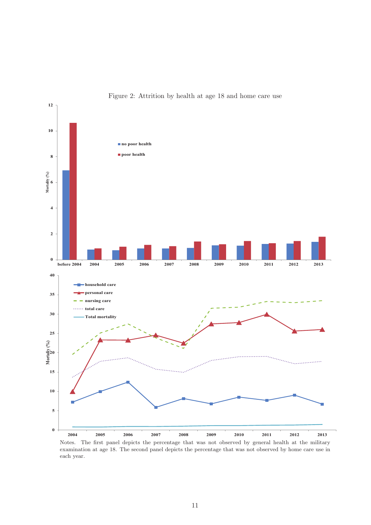

Figure 2: Attrition by health at age 18 and home care use

Notes. The first panel depicts the percentage that was not observed by general health at the military examination at age 18. The second panel depicts the percentage that was not observed by home care use in each year.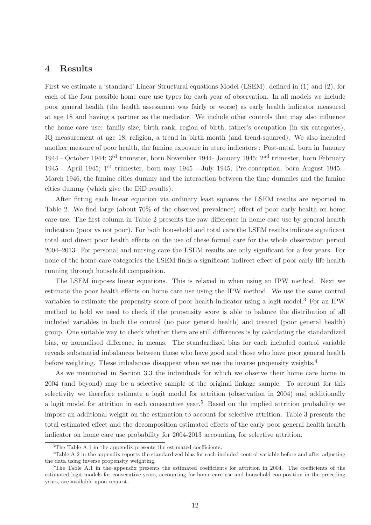### 4 Results

First we estimate a 'standard' Linear Structural equations Model (LSEM), defined in (1) and (2), for each of the four possible home care use types for each year of observation. In all models we include poor general health (the health assessment was fairly or worse) as early health indicator measured at age 18 and having a partner as the mediator. We include other controls that may also influence the home care use: family size, birth rank, region of birth, father's occupation (in six categories), IQ measurement at age 18, religion, a trend in birth month (and trend-squared). We also included another measure of poor health, the famine exposure in utero indicators : Post-natal, born in January 1944 - October 1944; 3rd trimester, born November 1944- January 1945; 2nd trimester, born February 1945 - April 1945; 1st trimester, born may 1945 - July 1945; Pre-conception, born August 1945 - March 1946, the famine cities dummy and the interaction between the time dummies and the famine cities dummy (which give the DiD results).

After fitting each linear equation via ordinary least squares the LSEM results are reported in Table 2. We find large (about 70% of the observed prevalence) effect of poor early health on home care use. The first column in Table 2 presents the raw difference in home care use by general health indication (poor vs not poor). For both household and total care the LSEM results indicate significant total and direct poor health effects on the use of these formal care for the whole observation period 2004–2013. For personal and nursing care the LSEM results are only significant for a few years. For none of the home care categories the LSEM finds a significant indirect effect of poor early life health running through household composition.

The LSEM imposes linear equations. This is relaxed in when using an IPW method. Next we estimate the poor health effects on home care use using the IPW method. We use the same control variables to estimate the propensity score of poor health indicator using a logit model.<sup>3</sup> For an IPW method to hold we need to check if the propensity score is able to balance the distribution of all included variables in both the control (no poor general health) and treated (poor general health) group. One suitable way to check whether there are still differences is by calculating the standardized bias, or normalised difference in means. The standardized bias for each included control variable reveals substantial imbalances between those who have good and those who have poor general health before weighting. These imbalances disappear when we use the inverse propensity weights.<sup>4</sup>

As we mentioned in Section 3.3 the individuals for which we observe their home care home in 2004 (and beyond) may be a selective sample of the original linkage sample. To account for this selectivity we therefore estimate a logit model for attrition (observation in 2004) and additionally a logit model for attrition in each consecutive year.<sup>5</sup> Based on the implied attrition probability we impose an additional weight on the estimation to account for selective attrition. Table 3 presents the total estimated effect and the decomposition estimated effects of the early poor general health health indicator on home care use probability for 2004-2013 accounting for selective attrition.

<sup>&</sup>lt;sup>3</sup>The Table A.1 in the appendix presents the estimated coefficients.

<sup>&</sup>lt;sup>4</sup>Table A.2 in the appendix reports the standardized bias for each included control variable before and after adjusting the data using inverse propensity weighting.

<sup>&</sup>lt;sup>5</sup>The Table A.1 in the appendix presents the estimated coefficients for attrition in 2004. The coefficients of the estimated logit models for consecutive years, accounting for home care use and household composition in the preceding years, are available upon request.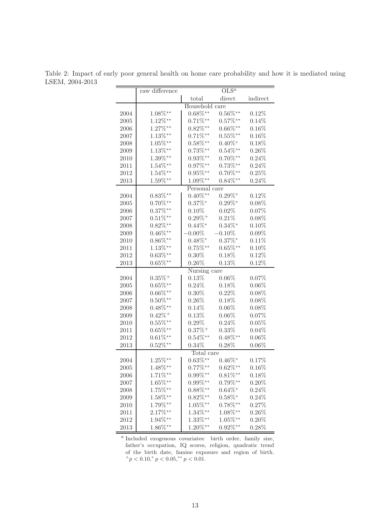Table 2: Impact of early poor general health on home care probability and how it is mediated using LSEM, 2004-2013

|      | raw difference        |                | OLS <sup>a</sup> |          |
|------|-----------------------|----------------|------------------|----------|
|      |                       | total          | direct           | indirect |
|      |                       | Household care |                  |          |
| 2004 | $1.08\%^{**}$         | $0.68\%^{**}$  | $0.56\%^{**}$    | 0.12%    |
| 2005 | $1.12\%^{**}$         | $0.71\%^{**}$  | $0.57\%^{**}$    | 0.14%    |
| 2006 | $1.27\%^{**}$         | $0.82\%^{**}$  | $0.66\%^{**}$    | $0.16\%$ |
| 2007 | $1.13\%^{**}$         | $0.71\%^{**}$  | $0.55\%^{**}$    | $0.16\%$ |
| 2008 | $1.05\%^{**}$         | $0.58\%^{**}$  | $0.40\%^*$       | $0.18\%$ |
| 2009 | $1.13\%**$            | $0.73\%^{**}$  | $0.54\%^{**}$    | $0.26\%$ |
| 2010 | $1.39\%^{**}$         | $0.93\%^{**}$  | $0.70\%^{**}$    | 0.24%    |
| 2011 | $1.54\%^{**}$         | $0.97\%^{**}$  | $0.73\%^{**}$    | 0.24%    |
| 2012 | $1.54\%^{**}$         | $0.95\%^{**}$  | $0.70\%^{**}$    | 0.25%    |
| 2013 | $1.59\%^{**}$         | 1.09%**        | $0.84\%^{**}$    | 0.24%    |
|      |                       | Personal care  |                  |          |
| 2004 | $0.83\%^{**}$         | $0.40\%^{**}$  | $0.29\%^*$       | 0.12%    |
| 2005 | $0.70\%^{**}$         | $0.37\%$ *     | $0.29\%^*$       | $0.08\%$ |
| 2006 | $0.37\%^{**}$         | $0.10\%$       | 0.02%            | 0.07%    |
| 2007 | $0.51\%^{**}$         | $0.29\% +$     | 0.21%            | $0.08\%$ |
| 2008 | $0.82\%^{**}$         | $0.44\%^*$     | $0.34\%^*$       | $0.10\%$ |
| 2009 | $0.46\%^{**}$         | $0.00\%$       | $-0.10\%$        | 0.09%    |
| 2010 | $0.86\%^{**}$         | $0.48\%^*$     | $0.37\%^*$       | $0.11\%$ |
| 2011 | $1.13\%^{**}$         | $0.75\%^{**}$  | $0.65\%^{**}$    | $0.10\%$ |
| 2012 | $0.63\%**$            | $0.30\%$       | $0.18\%$         | $0.12\%$ |
| 2013 | $0.65\%^{**}$         | $0.26\%$       | 0.13%            | 0.12%    |
|      |                       | Nursing care   |                  |          |
| 2004 | $0.35\%$ <sup>+</sup> | 0.13%          | 0.06%            | 0.07%    |
| 2005 | $0.65\%^{**}$         | 0.24%          | 0.18%            | $0.06\%$ |
| 2006 | $0.66\%^{**}$         | $0.30\%$       | 0.22%            | 0.08%    |
| 2007 | $0.50\%^{**}$         | $0.26\%$       | 0.18%            | 0.08%    |
| 2008 | $0.48\%^{**}$         | 0.14%          | 0.06%            | 0.08%    |
| 2009 | $0.42\% +$            | $0.13\%$       | 0.06%            | 0.07%    |
| 2010 | $0.55\%^{**}$         | $0.29\%$       | 0.24%            | 0.05%    |
| 2011 | $0.65\%^{**}$         | $0.37\% +$     | $0.33\%$         | 0.04%    |
| 2012 | $0.61\%^{**}$         | $0.54\%^{**}$  | $0.48\%^{**}$    | $0.06\%$ |
| 2013 | $0.52\%^{**}$         | $0.34\%$       | 0.28%            | $0.06\%$ |
|      |                       | Total care     |                  |          |
| 2004 | $1.25\%**$            | $0.63\%^{**}$  | $0.46\%$ *       | 0.17%    |
| 2005 | $1.48\%**$            | $0.77\%^{**}$  | $0.62\%^{**}$    | $0.16\%$ |
| 2006 | $1.71\%**$            | $0.99\%^{**}$  | $0.81\%^{**}$    | $0.18\%$ |
| 2007 | $1.65\%**$            | $0.99\%^{**}$  | $0.79\%^{**}$    | $0.20\%$ |
| 2008 | $1.75\%**$            | $0.88\%^{**}$  | $0.64\%^*$       | $0.24\%$ |
| 2009 | $1.58\%^{**}$         | $0.82\%^{**}$  | $0.58\%^*$       | 0.24%    |
| 2010 | $1.79\%^{**}$         | $1.05\%**$     | $0.78\%^{**}$    | 0.27%    |
| 2011 | $2.17\%**$            | $1.34\%**$     | $1.08\%$ **      | $0.26\%$ |
| 2012 | $1.94\%^{**}$         | $1.33\%**$     | $1.05\%$ **      | $0.20\%$ |
| 2013 | $1.86\%^{**}$         | $1.20\%**$     | $0.92\%^**$      | 0.28%    |

a Included exogenous covariates: birth order, family size, father's occupation, IQ scores, religion, quadratic trend of the birth date, famine exposure and region of birth.  $^{+}p$  < 0.10,\*  $p$  < 0.05,\*\*  $p$  < 0.01.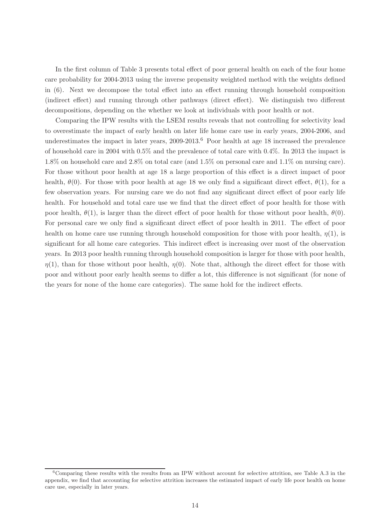In the first column of Table 3 presents total effect of poor general health on each of the four home care probability for 2004-2013 using the inverse propensity weighted method with the weights defined in (6). Next we decompose the total effect into an effect running through household composition (indirect effect) and running through other pathways (direct effect). We distinguish two different decompositions, depending on the whether we look at individuals with poor health or not.

Comparing the IPW results with the LSEM results reveals that not controlling for selectivity lead to overestimate the impact of early health on later life home care use in early years, 2004-2006, and underestimates the impact in later years, 2009-2013.<sup>6</sup> Poor health at age 18 increased the prevalence of household care in 2004 with 0.5% and the prevalence of total care with 0.4%. In 2013 the impact is 1.8% on household care and 2.8% on total care (and 1.5% on personal care and 1.1% on nursing care). For those without poor health at age 18 a large proportion of this effect is a direct impact of poor health,  $\theta(0)$ . For those with poor health at age 18 we only find a significant direct effect,  $\theta(1)$ , for a few observation years. For nursing care we do not find any significant direct effect of poor early life health. For household and total care use we find that the direct effect of poor health for those with poor health,  $\theta(1)$ , is larger than the direct effect of poor health for those without poor health,  $\theta(0)$ . For personal care we only find a significant direct effect of poor health in 2011. The effect of poor health on home care use running through household composition for those with poor health,  $\eta(1)$ , is significant for all home care categories. This indirect effect is increasing over most of the observation years. In 2013 poor health running through household composition is larger for those with poor health,  $\eta(1)$ , than for those without poor health,  $\eta(0)$ . Note that, although the direct effect for those with poor and without poor early health seems to differ a lot, this difference is not significant (for none of the years for none of the home care categories). The same hold for the indirect effects.

 $6$ Comparing these results with the results from an IPW without account for selective attrition, see Table A.3 in the appendix, we find that accounting for selective attrition increases the estimated impact of early life poor health on home care use, especially in later years.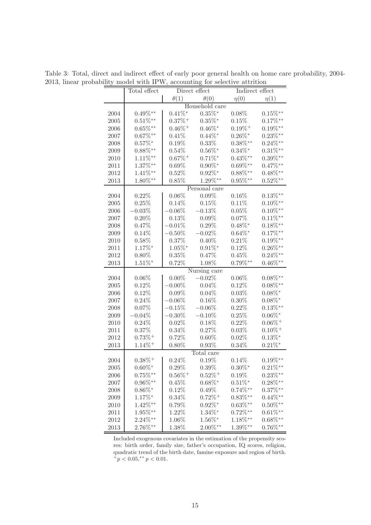|      | Total effect          | Direct effect         |                       | Indirect effect       |                       |
|------|-----------------------|-----------------------|-----------------------|-----------------------|-----------------------|
|      |                       | $\theta(1)$           | $\theta(0)$           | $\eta(0)$             | $\eta(1)$             |
|      |                       |                       | Household care        |                       |                       |
| 2004 | $0.49\%^{**}$         | $0.41\%$ *            | $0.35\%$ *            | $0.08\%$              | $0.15\%^{**}$         |
| 2005 | $0.51\%^{**}$         | $0.37\%$ <sup>+</sup> | $0.35\%$ *            | 0.15%                 | $0.17\%^{**}$         |
| 2006 | $0.65\%^{**}$         | $0.46\%$ <sup>+</sup> | $0.46\%^*$            | $0.19\%$ <sup>+</sup> | $0.19\%^{**}$         |
| 2007 | $0.67\%^{**}$         | 0.41%                 | $0.44\%^*$            | $0.26\%^*$            | $0.23\%**$            |
| 2008 | $0.57\%^*$            | 0.19%                 | 0.33%                 | $0.38\%^{**}$         | $0.24\%^{**}$         |
| 2009 | $0.88\%^{**}$         | 0.54%                 | $0.56\%^*$            | $0.34\%$ *            | $0.31\%**$            |
| 2010 | $1.11\%**$            | $0.67\% +$            | $0.71\%$ *            | $0.43\%^{**}$         | $0.39\%^{**}$         |
| 2011 | $1.37\%$ **           | 0.69%                 | $0.90\%^*$            | $0.69\%^{**}$         | $0.47\%^{**}$         |
| 2012 | $1.41\%$ **           | 0.52%                 | $0.92\%^*$            | $0.88\%^{**}$         | $0.48\%^{**}$         |
| 2013 | $1.80\%***$           | 0.85%                 | $1.29\%^{**}$         | $0.95\%^{**}$         | $0.52\%^{**}$         |
|      |                       |                       | Personal care         |                       |                       |
|      | 0.22%                 | 0.06%                 | 0.09%                 | $0.16\%$              | $0.13\%^{**}$         |
| 2004 | 0.25%                 | 0.14%                 | 0.15%                 | $0.11\%$              | $0.10\%^{**}$         |
| 2005 | $-0.03%$              |                       |                       | 0.05%                 | $0.10\%^{**}$         |
| 2006 |                       | $-0.06\%$             | $-0.13%$<br>$0.09\%$  | 0.07%                 | $0.11\%**$            |
| 2007 | 0.20%                 | 0.13%                 |                       |                       |                       |
| 2008 | 0.47%                 | $-0.01\%$             | 0.29%<br>$-0.02%$     | $0.48\%^*$            | $0.18\%^{**}$         |
| 2009 | 0.14%                 | $-0.50\%$             |                       | $0.64\%^*$            | $0.17\%^{**}$         |
| 2010 | 0.58%                 | 0.37%                 | $0.40\%$              | 0.21%                 | $0.19\%^{**}$         |
| 2011 | $1.17\%$ *            | $1.05\%$ *            | $0.91\%$ *            | 0.12%                 | $0.26\%^{**}$         |
| 2012 | $0.80\%$              | 0.35%                 | 0.47%                 | 0.45%                 | $0.24\%^{**}$         |
| 2013 | $1.51\%$ *            | 0.72%                 | 1.08%                 | $0.79\%^{**}$         | $0.46\%^{**}$         |
|      |                       |                       | Nursing care          |                       |                       |
| 2004 | 0.06%                 | $0.00\%$              | $-0.02\%$             | $0.06\%$              | $0.08\%^{**}$         |
| 2005 | 0.12%                 | $-0.00\%$             | 0.04%                 | 0.12%                 | $0.08\%^{**}$         |
| 2006 | 0.12%                 | $0.09\%$              | 0.04%                 | 0.03%                 | $0.08\%$ *            |
| 2007 | 0.24%                 | $-0.06\%$             | 0.16%                 | $0.30\%$              | $0.08\%^*$            |
| 2008 | 0.07%                 | $-0.15\%$             | $-0.06%$              | 0.22%                 | $0.13\%^{**}$         |
| 2009 | $-0.04\%$             | $-0.30\%$             | $-0.10%$              | 0.25%                 | $0.06\%$ *            |
| 2010 | 0.24%                 | 0.02%                 | 0.18%                 | 0.22%                 | $0.06\%$ <sup>+</sup> |
| 2011 | 0.37%                 | $0.34\%$              | 0.27%                 | 0.03%                 | $0.10\%$ <sup>+</sup> |
| 2012 | $0.73\%$ <sup>+</sup> | 0.72%                 | $0.60\%$              | 0.02%                 | $0.13\%$ *            |
| 2013 | $1.14\%$ <sup>+</sup> | $0.80\%$              | 0.93%                 | $0.34\%$              | $0.21\%$ *            |
|      |                       |                       | Total care            |                       |                       |
| 2004 | $0.38\% +$            | 0.24%                 | 0.19%                 | 0.14%                 | $0.19\%^{**}$         |
| 2005 | $0.60\%^*$            | $0.29\%$              | $0.39\%$              | $0.30\%^*$            | $0.21\%**$            |
| 2006 | $0.75\%**$            | $0.56\%$ <sup>+</sup> | $0.52\% +$            | 0.19%                 | $0.23\%**$            |
| 2007 | $0.96\%^{**}$         | 0.45%                 | $0.68\%$ *            | $0.51\%$ *            | $0.28\%^{**}$         |
| 2008 | $0.86\%$ *            | 0.12%                 | 0.49%                 | $0.74\%^{**}$         | $0.37\%^{**}$         |
| 2009 | $1.17\%$ *            | $0.34\%$              | $0.72\%$ <sup>+</sup> | $0.83\%**$            | $0.44\%^{**}$         |
| 2010 | $1.42\%$ **           | 0.79%                 | $0.92\%$ *            | $0.63\%^{**}$         | $0.50\%^{**}$         |
| 2011 | $1.95\%$ **           | 1.22%                 | $1.34\%$ *            | $0.72\%^{**}$         | $0.61\%^{**}$         |
| 2012 | $2.24\%^{**}$         | 1.06%                 | $1.56\%$ *            | $1.18\%**$            | $0.68\%^{**}$         |
| 2013 | $2.76\%^{**}$         | 1.38%                 | $2.00\%^{**}$         | $1.39\%**$            | $0.76\%^{**}$         |

Table 3: Total, direct and indirect effect of early poor general health on home care probability, 2004- 2013, linear probability model with IPW, accounting for selective attrition

Included exogenous covariates in the estimation of the propensity scores: birth order, family size, father's occupation, IQ scores, religion, quadratic trend of the birth date, famine exposure and region of birth.  $^{+}p < 0.05, ^{**}p < 0.01.$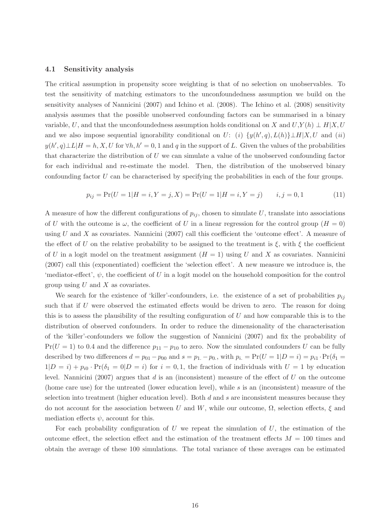#### 4.1 Sensitivity analysis

The critical assumption in propensity score weighting is that of no selection on unobservables. To test the sensitivity of matching estimators to the unconfoundedness assumption we build on the sensitivity analyses of Nannicini (2007) and Ichino et al. (2008). The Ichino et al. (2008) sensitivity analysis assumes that the possible unobserved confounding factors can be summarised in a binary variable, U, and that the unconfoundedness assumption holds conditional on X and  $U, Y(h) \perp H \mid X, U$ and we also impose sequential ignorability conditional on U: (i)  $\{y(h', q), L(h)\}\perp H | X, U \text{ and } (ii)$  $y(h', q) \perp L | H = h, X, U$  for  $\forall h, h' = 0, 1$  and q in the support of L. Given the values of the probabilities that characterize the distribution of U we can simulate a value of the unobserved confounding factor for each individual and re-estimate the model. Then, the distribution of the unobserved binary confounding factor U can be characterised by specifying the probabilities in each of the four groups.

$$
p_{ij} = \Pr(U = 1 | H = i, Y = j, X) = \Pr(U = 1 | H = i, Y = j) \qquad i, j = 0, 1 \tag{11}
$$

A measure of how the different configurations of  $p_{ij}$ , chosen to simulate U, translate into associations of U with the outcome is  $\omega$ , the coefficient of U in a linear regression for the control group  $(H = 0)$ using U and X as covariates. Nannicini (2007) call this coefficient the 'outcome effect'. A measure of the effect of U on the relative probability to be assigned to the treatment is  $\xi$ , with  $\xi$  the coefficient of U in a logit model on the treatment assignment  $(H = 1)$  using U and X as covariates. Nannicini (2007) call this (exponentiated) coefficient the 'selection effect'. A new measure we introduce is, the 'mediator-effect',  $\psi$ , the coefficient of U in a logit model on the household composition for the control group using  $U$  and  $X$  as covariates.

We search for the existence of 'killer'-confounders, i.e. the existence of a set of probabilities  $p_{ij}$ such that if  $U$  were observed the estimated effects would be driven to zero. The reason for doing this is to assess the plausibility of the resulting configuration of  $U$  and how comparable this is to the distribution of observed confounders. In order to reduce the dimensionality of the characterisation of the 'killer'-confounders we follow the suggestion of Nannicini (2007) and fix the probability of  $Pr(U = 1)$  to 0.4 and the difference  $p_{11} - p_{10}$  to zero. Now the simulated confounders U can be fully described by two differences  $d = p_{01} - p_{00}$  and  $s = p_{1.} - p_{0.}$ , with  $p_i = Pr(U = 1|D = i) = p_{i1} \cdot Pr(\delta_1 = 1|D = i)$  $1|D = i + p_{i0} \cdot Pr(\delta_1 = 0|D = i)$  for  $i = 0, 1$ , the fraction of individuals with  $U = 1$  by education level. Nannicini (2007) argues that d is an (inconsistent) measure of the effect of U on the outcome (home care use) for the untreated (lower education level), while s is an (inconsistent) measure of the selection into treatment (higher education level). Both  $d$  and  $s$  are inconsistent measures because they do not account for the association between U and W, while our outcome,  $\Omega$ , selection effects,  $\xi$  and mediation effects  $\psi$ , account for this.

For each probability configuration of U we repeat the simulation of U, the estimation of the outcome effect, the selection effect and the estimation of the treatment effects  $M = 100$  times and obtain the average of these 100 simulations. The total variance of these averages can be estimated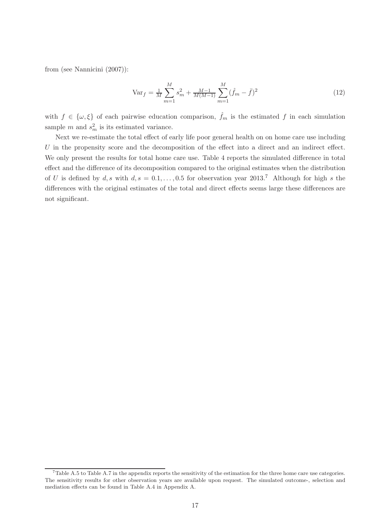from (see Nannicini (2007)):

$$
\text{Var}_f = \frac{1}{M} \sum_{m=1}^{M} s_m^2 + \frac{M-1}{M(M-1)} \sum_{m=1}^{M} (\hat{f}_m - \bar{f})^2
$$
\n(12)

with  $f \in {\omega, \xi}$  of each pairwise education comparison,  $\hat{f}_m$  is the estimated f in each simulation sample m and  $s_m^2$  is its estimated variance.

Next we re-estimate the total effect of early life poor general health on on home care use including U in the propensity score and the decomposition of the effect into a direct and an indirect effect. We only present the results for total home care use. Table 4 reports the simulated difference in total effect and the difference of its decomposition compared to the original estimates when the distribution of U is defined by d, s with  $d, s = 0.1, \ldots, 0.5$  for observation year 2013.<sup>7</sup> Although for high s the differences with the original estimates of the total and direct effects seems large these differences are not significant.

<sup>&</sup>lt;sup>7</sup>Table A.5 to Table A.7 in the appendix reports the sensitivity of the estimation for the three home care use categories. The sensitivity results for other observation years are available upon request. The simulated outcome-, selection and mediation effects can be found in Table A.4 in Appendix A.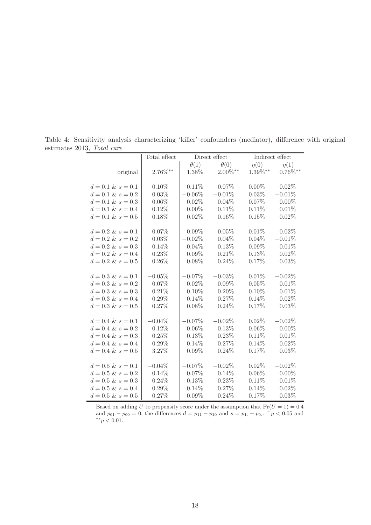|                      | Total effect  |             | Direct effect |            | Indirect effect |
|----------------------|---------------|-------------|---------------|------------|-----------------|
|                      |               | $\theta(1)$ | $\theta(0)$   | $\eta(0)$  | $\eta(1)$       |
| original             | $2.76\%^{**}$ | 1.38%       | $2.00\%**$    | $1.39\%**$ | $0.76\%^{**}$   |
|                      |               |             |               |            |                 |
| $d = 0.1 \& s = 0.1$ | $-0.10\%$     | $-0.11%$    | $-0.07\%$     | $0.00\%$   | $-0.02%$        |
| $d = 0.1 \& s = 0.2$ | 0.03%         | $-0.06%$    | $-0.01\%$     | 0.03%      | $-0.01%$        |
| $d = 0.1 \& s = 0.3$ | $0.06\%$      | $-0.02%$    | $0.04\%$      | 0.07%      | $0.00\%$        |
| $d = 0.1 \& s = 0.4$ | 0.12%         | $0.00\%$    | 0.11%         | 0.11%      | 0.01%           |
| $d = 0.1 \& s = 0.5$ | 0.18%         | 0.02%       | $0.16\%$      | 0.15%      | 0.02%           |
|                      |               |             |               |            |                 |
| $d = 0.2 \& s = 0.1$ | $-0.07%$      | $-0.09\%$   | $-0.05%$      | 0.01%      | $-0.02%$        |
| $d = 0.2 \& s = 0.2$ | 0.03%         | $-0.02\%$   | $0.04\%$      | $0.04\%$   | $-0.01%$        |
| $d = 0.2 \& s = 0.3$ | $0.14\%$      | 0.04%       | 0.13%         | 0.09%      | 0.01%           |
| $d = 0.2 \& s = 0.4$ | 0.23%         | 0.09%       | 0.21%         | 0.13%      | 0.02%           |
| $d = 0.2 \& s = 0.5$ | $0.26\%$      | 0.08%       | 0.24%         | 0.17%      | 0.03%           |
|                      |               |             |               |            |                 |
| $d = 0.3 \& s = 0.1$ | $-0.05%$      | $-0.07%$    | $-0.03\%$     | 0.01%      | $-0.02%$        |
| $d = 0.3 \& s = 0.2$ | 0.07%         | 0.02%       | $0.09\%$      | 0.05%      | $-0.01%$        |
| $d = 0.3 \& s = 0.3$ | 0.21%         | 0.10%       | $0.20\%$      | 0.10%      | 0.01%           |
| $d = 0.3 \& s = 0.4$ | $0.29\%$      | 0.14%       | 0.27%         | 0.14%      | 0.02%           |
| $d = 0.3 \& s = 0.5$ | 0.27%         | 0.08%       | 0.24%         | 0.17%      | 0.03%           |
|                      |               |             |               |            |                 |
| $d = 0.4 \& s = 0.1$ | $-0.04%$      | $-0.07%$    | $-0.02\%$     | $0.02\%$   | $-0.02%$        |
| $d = 0.4 \& s = 0.2$ | 0.12%         | $0.06\%$    | 0.13%         | $0.06\%$   | $0.00\%$        |
| $d = 0.4 \& s = 0.3$ | 0.25%         | 0.13%       | 0.23%         | 0.11%      | 0.01%           |
| $d = 0.4 \& s = 0.4$ | $0.29\%$      | 0.14%       | 0.27%         | 0.14%      | 0.02%           |
| $d = 0.4 \& s = 0.5$ | 3.27%         | 0.09%       | 0.24%         | 0.17%      | 0.03%           |
|                      |               |             |               |            |                 |
| $d = 0.5 \& s = 0.1$ | $-0.04\%$     | $-0.07%$    | $-0.02\%$     | 0.02%      | $-0.02%$        |
| $d = 0.5 \& s = 0.2$ | 0.14%         | 0.07%       | 0.14%         | 0.06%      | $0.00\%$        |
| $d = 0.5 \& s = 0.3$ | 0.24%         | 0.13%       | 0.23%         | 0.11%      | 0.01%           |
| $d = 0.5 \& s = 0.4$ | 0.29%         | 0.14%       | 0.27%         | 0.14%      | 0.02%           |
| $d = 0.5 \& s = 0.5$ | 0.27%         | 0.09%       | 0.24%         | 0.17%      | 0.03%           |

Table 4: Sensitivity analysis characterizing 'killer' confounders (mediator), difference with original estimates 2013, Total care  $=$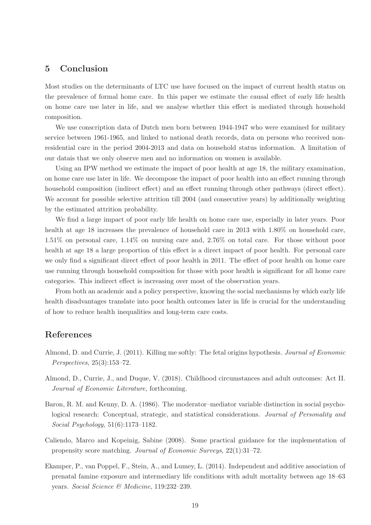## 5 Conclusion

Most studies on the determinants of LTC use have focused on the impact of current health status on the prevalence of formal home care. In this paper we estimate the causal effect of early life health on home care use later in life, and we analyse whether this effect is mediated through household composition.

We use conscription data of Dutch men born between  $1944-1947$  who were examined for military service between 1961-1965, and linked to national death records, data on persons who received nonresidential care in the period 2004-2013 and data on household status information. A limitation of our datais that we only observe men and no information on women is available.

Using an IPW method we estimate the impact of poor health at age 18, the military examination, on home care use later in life. We decompose the impact of poor health into an effect running through household composition (indirect effect) and an effect running through other pathways (direct effect). We account for possible selective attrition till 2004 (and consecutive years) by additionally weighting by the estimated attrition probability.

We find a large impact of poor early life health on home care use, especially in later years. Poor health at age 18 increases the prevalence of household care in 2013 with 1.80% on household care, 1.51% on personal care, 1.14% on nursing care and, 2.76% on total care. For those without poor health at age 18 a large proportion of this effect is a direct impact of poor health. For personal care we only find a significant direct effect of poor health in 2011. The effect of poor health on home care use running through household composition for those with poor health is significant for all home care categories. This indirect effect is increasing over most of the observation years.

From both an academic and a policy perspective, knowing the social mechanisms by which early life health disadvantages translate into poor health outcomes later in life is crucial for the understanding of how to reduce health inequalities and long-term care costs.

### References

- Almond, D. and Currie, J. (2011). Killing me softly: The fetal origins hypothesis. Journal of Economic Perspectives, 25(3):153–72.
- Almond, D., Currie, J., and Duque, V. (2018). Childhood circumstances and adult outcomes: Act II. Journal of Economic Literature, forthcoming.
- Baron, R. M. and Kenny, D. A. (1986). The moderator–mediator variable distinction in social psychological research: Conceptual, strategic, and statistical considerations. Journal of Personality and Social Psychology, 51(6):1173–1182.
- Caliendo, Marco and Kopeinig, Sabine (2008). Some practical guidance for the implementation of propensity score matching. Journal of Economic Surveys, 22(1):31–72.
- Ekamper, P., van Poppel, F., Stein, A., and Lumey, L. (2014). Independent and additive association of prenatal famine exposure and intermediary life conditions with adult mortality between age 18–63 years. Social Science & Medicine, 119:232–239.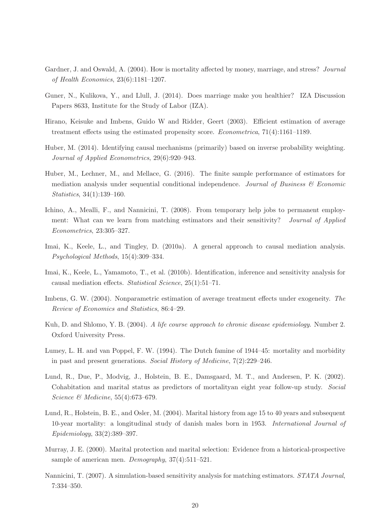- Gardner, J. and Oswald, A. (2004). How is mortality affected by money, marriage, and stress? Journal of Health Economics, 23(6):1181–1207.
- Guner, N., Kulikova, Y., and Llull, J. (2014). Does marriage make you healthier? IZA Discussion Papers 8633, Institute for the Study of Labor (IZA).
- Hirano, Keisuke and Imbens, Guido W and Ridder, Geert (2003). Efficient estimation of average treatment effects using the estimated propensity score. Econometrica, 71(4):1161–1189.
- Huber, M. (2014). Identifying causal mechanisms (primarily) based on inverse probability weighting. Journal of Applied Econometrics, 29(6):920–943.
- Huber, M., Lechner, M., and Mellace, G. (2016). The finite sample performance of estimators for mediation analysis under sequential conditional independence. Journal of Business  $\mathcal{C}$  Economic Statistics, 34(1):139–160.
- Ichino, A., Mealli, F., and Nannicini, T. (2008). From temporary help jobs to permanent employment: What can we learn from matching estimators and their sensitivity? *Journal of Applied* Econometrics, 23:305–327.
- Imai, K., Keele, L., and Tingley, D. (2010a). A general approach to causal mediation analysis. Psychological Methods, 15(4):309–334.
- Imai, K., Keele, L., Yamamoto, T., et al. (2010b). Identification, inference and sensitivity analysis for causal mediation effects. Statistical Science, 25(1):51–71.
- Imbens, G. W. (2004). Nonparametric estimation of average treatment effects under exogeneity. The Review of Economics and Statistics, 86:4–29.
- Kuh, D. and Shlomo, Y. B. (2004). A life course approach to chronic disease epidemiology. Number 2. Oxford University Press.
- Lumey, L. H. and van Poppel, F. W. (1994). The Dutch famine of 1944–45: mortality and morbidity in past and present generations. Social History of Medicine, 7(2):229–246.
- Lund, R., Due, P., Modvig, J., Holstein, B. E., Damsgaard, M. T., and Andersen, P. K. (2002). Cohabitation and marital status as predictors of mortalityan eight year follow-up study. Social Science & Medicine, 55(4):673–679.
- Lund, R., Holstein, B. E., and Osler, M. (2004). Marital history from age 15 to 40 years and subsequent 10-year mortality: a longitudinal study of danish males born in 1953. International Journal of Epidemiology, 33(2):389–397.
- Murray, J. E. (2000). Marital protection and marital selection: Evidence from a historical-prospective sample of american men. Demography, 37(4):511–521.
- Nannicini, T. (2007). A simulation-based sensitivity analysis for matching estimators. STATA Journal, 7:334–350.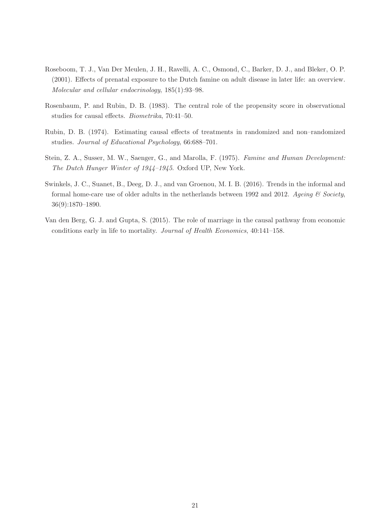- Roseboom, T. J., Van Der Meulen, J. H., Ravelli, A. C., Osmond, C., Barker, D. J., and Bleker, O. P. (2001). Effects of prenatal exposure to the Dutch famine on adult disease in later life: an overview. Molecular and cellular endocrinology, 185(1):93–98.
- Rosenbaum, P. and Rubin, D. B. (1983). The central role of the propensity score in observational studies for causal effects. Biometrika, 70:41–50.
- Rubin, D. B. (1974). Estimating causal effects of treatments in randomized and non–randomized studies. Journal of Educational Psychology, 66:688–701.
- Stein, Z. A., Susser, M. W., Saenger, G., and Marolla, F. (1975). Famine and Human Development: The Dutch Hunger Winter of 1944–1945. Oxford UP, New York.
- Swinkels, J. C., Suanet, B., Deeg, D. J., and van Groenou, M. I. B. (2016). Trends in the informal and formal home-care use of older adults in the netherlands between 1992 and 2012. Ageing  $\mathcal C$  Society, 36(9):1870–1890.
- Van den Berg, G. J. and Gupta, S. (2015). The role of marriage in the causal pathway from economic conditions early in life to mortality. Journal of Health Economics, 40:141–158.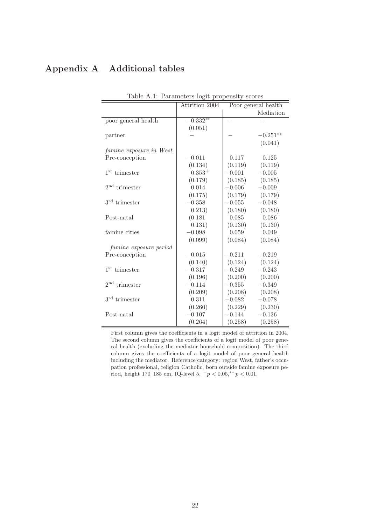## Appendix A Additional tables

| Table A.1: Parameters logit propensity scores |                |          |                     |  |  |
|-----------------------------------------------|----------------|----------|---------------------|--|--|
|                                               | Attrition 2004 |          | Poor general health |  |  |
|                                               |                |          | Mediation           |  |  |
| poor general health                           | $-0.332**$     |          |                     |  |  |
|                                               | (0.051)        |          |                     |  |  |
| partner                                       |                |          | $-0.251**$          |  |  |
|                                               |                |          | (0.041)             |  |  |
| famine exposure in West                       |                |          |                     |  |  |
| Pre-conception                                | $-0.011$       | 0.117    | 0.125               |  |  |
|                                               | (0.134)        | (0.119)  | (0.119)             |  |  |
| $1st$ trimester                               | $0.353+$       | $-0.001$ | $-0.005$            |  |  |
|                                               | (0.179)        | (0.185)  | (0.185)             |  |  |
| $2nd$ trimester                               | 0.014          | $-0.006$ | $-0.009$            |  |  |
|                                               | (0.175)        | (0.179)  | (0.179)             |  |  |
| $3rd$ trimester                               | $-0.358$       | $-0.055$ | $-0.048$            |  |  |
|                                               | 0.213)         | (0.180)  | (0.180)             |  |  |
| Post-natal                                    | (0.181)        | 0.085    | 0.086               |  |  |
|                                               | 0.131)         | (0.130)  | (0.130)             |  |  |
| famine cities                                 | $-0.098$       | 0.059    | 0.049               |  |  |
|                                               | (0.099)        | (0.084)  | (0.084)             |  |  |
| famine exposure period                        |                |          |                     |  |  |
| Pre-conception                                | $-0.015$       | $-0.211$ | $-0.219$            |  |  |
|                                               | (0.140)        | (0.124)  | (0.124)             |  |  |
| $1st$ trimester                               | $-0.317$       | $-0.249$ | $-0.243$            |  |  |
|                                               | (0.196)        | (0.200)  | (0.200)             |  |  |
| $2nd$ trimester                               | $-0.114$       | $-0.355$ | $-0.349$            |  |  |
|                                               | (0.209)        | (0.208)  | (0.208)             |  |  |
| $3rd$ trimester                               | 0.311          | $-0.082$ | $-0.078$            |  |  |
|                                               | (0.260)        | (0.229)  | (0.230)             |  |  |
| Post-natal                                    | $-0.107$       | $-0.144$ | $-0.136$            |  |  |
|                                               | (0.264)        | (0.258)  | (0.258)             |  |  |

 $Table A.1: Demonance locit prononsit$ 

First column gives the coefficients in a logit model of attrition in 2004. The second column gives the coefficients of a logit model of poor general health (excluding the mediator household composition). The third column gives the coefficients of a logit model of poor general health including the mediator. Reference category: region West, father's occupation professional, religion Catholic, born outside famine exposure period, height 170–185 cm, IQ-level 5.  $^+p < 0.05, ^{**}p < 0.01$ .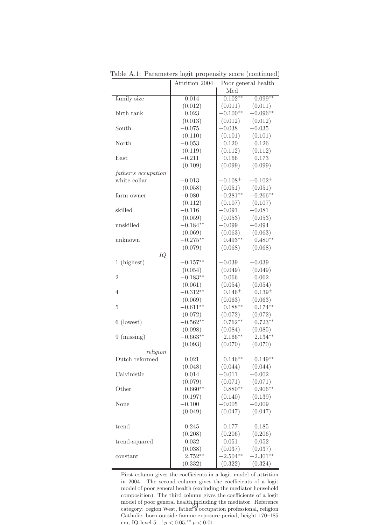|                     | Attrition 2004 | Poor general health |              |
|---------------------|----------------|---------------------|--------------|
|                     |                | Med                 |              |
| family size         | $-0.014$       | $0.102**$           | $0.099**$    |
|                     | (0.012)        | (0.011)             | (0.011)      |
| birth rank          | 0.023          | $-0.100**$          | $-0.096**$   |
|                     | (0.013)        | (0.012)             | (0.012)      |
| South               | $-0.075$       | $-0.038$            | $-0.035$     |
|                     | (0.110)        | (0.101)             | (0.101)      |
| North               | $-0.053$       | 0.120               | 0.126        |
|                     | (0.119)        | (0.112)             | (0.112)      |
| East                | $-0.211$       | 0.166               | 0.173        |
|                     | (0.109)        | (0.099)             | (0.099)      |
| father's occupation |                |                     |              |
| white collar        | $-0.013$       | $-0.108^{+}$        | $-0.102^{+}$ |
|                     | (0.058)        | (0.051)             | (0.051)      |
| farm owner          | $-0.080$       | $-0.281**$          | $-0.266**$   |
|                     | (0.112)        | (0.107)             | (0.107)      |
| skilled             | $-0.116$       | $-0.091$            | $-0.081$     |
|                     | (0.059)        | (0.053)             | (0.053)      |
| unskilled           | $-0.184**$     | $-0.099$            | $-0.094$     |
|                     | (0.069)        | (0.063)             | (0.063)      |
| unknown             | $-0.275***$    | $0.493**$           | $0.480**$    |
|                     | (0.079)        | (0.068)             | (0.068)      |
| IQ                  |                |                     |              |
| 1 (highest)         | $-0.157**$     | $-0.039$            | $-0.039$     |
|                     | (0.054)        | (0.049)             | (0.049)      |
| $\overline{2}$      | $-0.183**$     | 0.066               | 0.062        |
|                     | (0.061)        | (0.054)             | (0.054)      |
| $\overline{4}$      | $-0.312**$     | $0.146+$            | $0.139+$     |
|                     | (0.069)        | (0.063)             | (0.063)      |
| $\overline{5}$      | $-0.611**$     | $0.188**$           | $0.174**$    |
|                     | (0.072)        | (0.072)             | (0.072)      |
| 6 (lowest)          | $-0.562**$     | $0.762**$           | $0.723**$    |
|                     | (0.098)        | (0.084)             | (0.085)      |
| $9 \ (missing)$     | $-0.663**$     | $2.166***$          | $2.134**$    |
|                     | (0.093)        | (0.070)             | (0.070)      |
| religion            |                |                     |              |
| Dutch reformed      | 0.021          | $0.146**$           | $0.149**$    |
|                     | (0.048)        | (0.044)             | (0.044)      |
| Calvinistic         | 0.014          | $-0.011$            | $-0.002$     |
|                     | (0.079)        | (0.071)             | (0.071)      |
| Other               | $0.660**$      | $0.880**$           | $0.906**$    |
|                     | (0.197)        | (0.140)             | (0.139)      |
| None                | $-0.100$       | $-0.005$            | $-0.009$     |
|                     | (0.049)        | (0.047)             | (0.047)      |
|                     |                |                     |              |
| trend               | 0.245          | 0.177               | 0.185        |
|                     | (0.208)        | (0.206)             | (0.206)      |
| trend-squared       | $-0.032$       | $-0.051$            | $-0.052$     |
|                     | (0.038)        | (0.037)             | (0.037)      |
| constant            | $2.752**$      | $-2.504**$          | $-2.301**$   |
|                     | (0.332)        | (0.322)             | (0.324)      |

Table A.1: Parameters logit propensity score (continued)

First column gives the coefficients in a logit model of attrition in 2004. The second column gives the coefficients of a logit model of poor general health (excluding the mediator household composition). The third column gives the coefficients of a logit model of poor general health, including the mediator. Reference category: region West, father's occupation professional, religion Catholic, born outside famine exposure period, height 170–185 cm, IQ-level 5.  $^+p < 0.05$ , \*\*  $p < 0.01$ . 23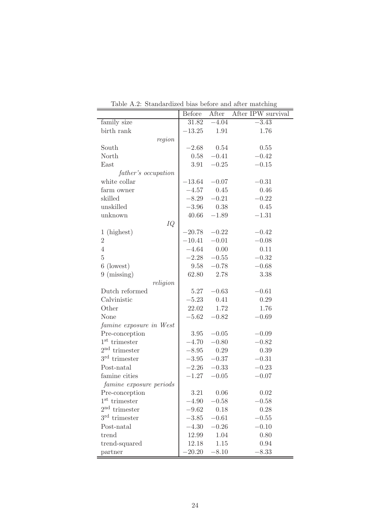|                         | Before   | After         | randai dized bido belore and anter mateming<br>After IPW survival |
|-------------------------|----------|---------------|-------------------------------------------------------------------|
| family size             | 31.82    | $-4.04$       | $-3.43$                                                           |
| birth rank              | $-13.25$ | 1.91          | 1.76                                                              |
| region                  |          |               |                                                                   |
| South                   | $-2.68$  | 0.54          | 0.55                                                              |
| North                   | 0.58     | $-0.41$       | $-0.42$                                                           |
| East                    | 3.91     | $-0.25$       | $-0.15$                                                           |
| father's occupation     |          |               |                                                                   |
| white collar            | $-13.64$ | $-0.07$       | $-0.31$                                                           |
| farm owner              | $-4.57$  | 0.45          | 0.46                                                              |
| skilled                 | $-8.29$  | $-0.21$       | $-0.22$                                                           |
| unskilled               |          | $-3.96$ 0.38  | 0.45                                                              |
| unknown                 | 40.66    | $-1.89$       | $-1.31$                                                           |
| IQ                      |          |               |                                                                   |
| 1 (highest)             | $-20.78$ | $-0.22$       | $-0.42$                                                           |
| $\sqrt{2}$              | $-10.41$ | $-0.01$       | $-0.08$                                                           |
| $\overline{4}$          | $-4.64$  | 0.00          | 0.11                                                              |
| $\overline{5}$          | $-2.28$  | $-0.55$       | $-0.32$                                                           |
| $\,6$<br>(lowest)       | 9.58     | $-0.78$       | $-0.68$                                                           |
| $9 \ (missing)$         | 62.80    | 2.78          | 3.38                                                              |
| religion                |          |               |                                                                   |
| Dutch reformed          | 5.27     | $-0.63$       | $-0.61$                                                           |
| Calvinistic             | $-5.23$  | 0.41          | 0.29                                                              |
| Other                   | 22.02    | 1.72          | 1.76                                                              |
| None                    | $-5.62$  | $-0.82$       | $-0.69$                                                           |
| famine exposure in West |          |               |                                                                   |
| Pre-conception          | 3.95     | $-0.05$       | $-0.09$                                                           |
| $1st$ trimester         | $-4.70$  | $-0.80$       | $-0.82$                                                           |
| $2nd$ trimester         | $-8.95$  | 0.29          | 0.39                                                              |
| $3rd$ trimester         |          | $-3.95 -0.37$ | $-0.31$                                                           |
| Post-natal              | $-2.26$  | $-0.33$       | $-0.23$                                                           |
| famine cities           | $-1.27$  | $-0.05$       | $-0.07$                                                           |
| famine exposure periods |          |               |                                                                   |
| Pre-conception          | 3.21     | 0.06          | 0.02                                                              |
| $1^{\rm st}$ trimester  | $-4.90$  | $-0.58$       | $-0.58$                                                           |
| $2nd$ trimester         | $-9.62$  | 0.18          | 0.28                                                              |
| $3rd$ trimester         | $-3.85$  | $-0.61$       | $-0.55$                                                           |
| Post-natal              | $-4.30$  | $-0.26$       | $-0.10$                                                           |
| trend                   | 12.99    | 1.04          | 0.80                                                              |
| trend-squared           | 12.18    | 1.15          | 0.94                                                              |
| partner                 | $-20.20$ | $-8.10$       | $-8.33$                                                           |

Table A.2: Standardized bias before and after matching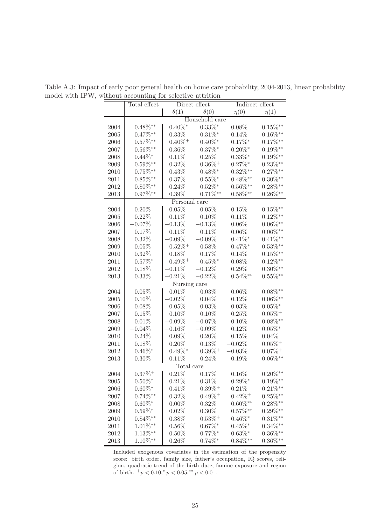|      | Total effect  |                        | Direct effect         | Indirect effect       |                       |
|------|---------------|------------------------|-----------------------|-----------------------|-----------------------|
|      |               | $\theta(1)$            | $\theta(0)$           | $\eta(0)$             | $\eta(1)$             |
|      |               |                        | Household care        |                       |                       |
| 2004 | $0.48\%^{**}$ | $0.40\%$ <sup>*</sup>  | $0.33\%$ *            | $0.08\%$              | $0.15\%^{**}$         |
| 2005 | $0.47\%^{**}$ | $0.33\%$               | $0.31\%$ *            | $0.14\%$              | $0.16\%^{**}$         |
| 2006 | $0.57\%^{**}$ | $0.40\%$ <sup>+</sup>  | $0.40\%$ *            | $0.17\%$ *            | $0.17\%^{**}$         |
| 2007 | $0.56\%^{**}$ | $0.36\%$               | $0.37\%$ *            | $0.20\%^*$            | $0.19\%^{**}$         |
| 2008 | $0.44\%$ *    | 0.11%                  | 0.25%                 | $0.33\%$ *            | $0.19\%^{**}$         |
| 2009 | $0.59\%^{**}$ | $0.32\%$               | $0.36\%$ <sup>+</sup> | $0.27\%$ *            | $0.23\%^{**}$         |
| 2010 | $0.75\%^{**}$ | 0.43%                  | $0.48\%$ *            | $0.32\%^{**}$         | $0.27\%^{**}$         |
| 2011 | $0.85\%^{**}$ | 0.37%                  | $0.55\%$ *            | $0.48\%^{**}$         | $0.30\%^{**}$         |
| 2012 | $0.80\%^{**}$ | $0.24\%$               | $0.52\%^*$            | $0.56\%^{**}$         | $0.28\%^{**}$         |
| 2013 | $0.97\%^{**}$ | $0.39\%$               | $0.71\%^**$           | $0.58\%^{**}$         | $0.26\%^{**}$         |
|      |               | Personal care          |                       |                       |                       |
| 2004 | 0.20%         | 0.05%                  | 0.05%                 | 0.15%                 | $0.15\%$ **           |
| 2005 | 0.22%         | 0.11%                  | 0.10%                 | 0.11%                 | $0.12\%^{**}$         |
| 2006 | $-0.07\%$     | $-0.13\%$              | $-0.13%$              | $0.06\%$              | $0.06\%^{**}$         |
| 2007 | 0.17%         | 0.11%                  | 0.11%                 | $0.06\%$              | $0.06\%^{**}$         |
| 2008 | 0.32%         | $-0.09\%$              | $-0.09%$              | $0.41\%$ *            | $0.41\%^{**}$         |
| 2009 | $-0.05%$      | $-0.52\%$ <sup>+</sup> | $-0.58\%$             | $0.47\%^*$            | $0.53\%^{**}$         |
| 2010 | 0.32%         | 0.18%                  | 0.17%                 | 0.14%                 | $0.15\%^{**}$         |
| 2011 | $0.57\%$ *    | $0.49\%$ <sup>+</sup>  | $0.45\%$ *            | $0.08\%$              | $0.12\%^{**}$         |
| 2012 | 0.18%         | $-0.11\%$              | $-0.12%$              | $0.29\%$              | $0.30\%^{**}$         |
| 2013 | $0.33\%$      | $-0.21\%$              | $-0.22\%$             | $0.54\%^{**}$         | $0.55\%^{**}$         |
|      |               | Nursing care           |                       |                       |                       |
| 2004 | 0.05%         | $-0.01\%$              | $-0.03%$              | $0.06\%$              | $0.08\%^{**}$         |
| 2005 | 0.10%         | $-0.02\%$              | 0.04%                 | 0.12%                 | $0.06\%^{**}$         |
| 2006 | 0.08%         | 0.05%                  | 0.03%                 | 0.03%                 | $0.05\%$ *            |
| 2007 | 0.15%         | $-0.10\%$              | 0.10%                 | 0.25%                 | $0.05\%$ <sup>+</sup> |
| 2008 | 0.01%         | $-0.09\%$              | $-0.07%$              | 0.10%                 | $0.08\%^{**}$         |
| 2009 | $-0.04%$      | $-0.16\%$              | $-0.09%$              | 0.12%                 | $0.05\%$ *            |
| 2010 | 0.24%         | $0.09\%$               | 0.20%                 | 0.15%                 | $0.04\%$              |
| 2011 | 0.18%         | $0.20\%$               | 0.13%                 | $-0.02\%$             | $0.05\%$ <sup>+</sup> |
| 2012 | $0.46\%^*$    | $0.49\%$ *             | $0.39\%$ <sup>+</sup> | $-0.03%$              | $0.07\%$ <sup>+</sup> |
| 2013 | $0.30\%$      | 0.11%                  | 0.24%                 | 0.19%                 | $0.06\%^{**}$         |
|      |               | Total care             |                       |                       |                       |
| 2004 | $0.37\% +$    | $0.21\%$               | 0.17%                 | $0.16\%$              | $0.20\%^{**}$         |
| 2005 | $0.50\%^*$    | $0.21\%$               | $0.31\%$              | $0.29\%^*$            | $0.19\%^{**}$         |
| 2006 | $0.60\%$ *    | $0.41\%$               | $0.39\%$ <sup>+</sup> | $0.21\%$              | $0.21\%**$            |
| 2007 | $0.74\%^{**}$ | $0.32\%$               | $0.49\%$ <sup>+</sup> | $0.42\%$ <sup>+</sup> | $0.25\%^{**}$         |
| 2008 | $0.60\%$ *    | $0.00\%$               | 0.32%                 | $0.60\%^{**}$         | $0.28\%^{**}$         |
| 2009 | $0.59\%^*$    | 0.02%                  | $0.30\%$              | $0.57\%^{**}$         | $0.29\%^{**}$         |
| 2010 | $0.84\%^{**}$ | $0.38\%$               | $0.53\%^+$            | $0.46\%$ *            | $0.31\%^{**}$         |
| 2011 | $1.01\%**$    | $0.56\%$               | $0.67\%$ *            | $0.45\%^*$            | $0.34\%^{**}$         |
| 2012 | $1.13\%$ **   | $0.50\%$               | $0.77\%$ *            | $0.63\%$ *            | $0.36\%^{**}$         |
| 2013 | $1.10\%**$    | $0.26\%$               | $0.74\%$ *            | $0.84\%^{**}$         | $0.36\%^{**}$         |

Table A.3: Impact of early poor general health on home care probability, 2004-2013, linear probability model with IPW, without accounting for selective attrition

Included exogenous covariates in the estimation of the propensity score: birth order, family size, father's occupation, IQ scores, religion, quadratic trend of the birth date, famine exposure and region of birth.  $^{+}p < 0.10, ^{*}p < 0.05, ^{**}p < 0.01$ .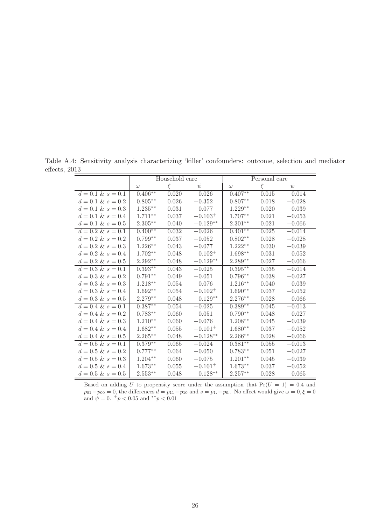Table A.4: Sensitivity analysis characterizing 'killer' confounders: outcome, selection and mediator effects, 2013

|                      |            | Household care |              |                    | Personal care |          |  |
|----------------------|------------|----------------|--------------|--------------------|---------------|----------|--|
|                      | $\omega$   | ξ              | $\psi$       | $\omega$           | ξ             | $\psi$   |  |
| $d = 0.1 \& s = 0.1$ | $0.406**$  | 0.020          | $-0.026$     | $0.407**$          | 0.015         | $-0.014$ |  |
| $d = 0.1 \& s = 0.2$ | $0.805***$ | 0.026          | $-0.352$     | $0.807**$          | 0.018         | $-0.028$ |  |
| $d = 0.1 \& s = 0.3$ | $1.235***$ | 0.031          | $-0.077$     | $1.229**$          | 0.020         | $-0.039$ |  |
| $d = 0.1 \& s = 0.4$ | $1.711***$ | 0.037          | $-0.103^{+}$ | $1.707**$          | 0.021         | $-0.053$ |  |
| $d = 0.1 \& s = 0.5$ | $2.305**$  | 0.040          | $-0.129**$   | $2.301**$          | 0.021         | $-0.066$ |  |
| $d = 0.2 \& s = 0.1$ | $0.400**$  | 0.032          | $-0.026$     | $0.401**$          | 0.025         | $-0.014$ |  |
| $d = 0.2 \& s = 0.2$ | $0.799**$  | 0.037          | $-0.052$     | $0.802**$          | 0.028         | $-0.028$ |  |
| $d = 0.2 \& s = 0.3$ | $1.226**$  | 0.043          | $-0.077$     | $1.222**$          | 0.030         | $-0.039$ |  |
| $d = 0.2 \& s = 0.4$ | $1.702**$  | 0.048          | $-0.102^{+}$ | $1.698**$          | 0.031         | $-0.052$ |  |
| $d = 0.2 \& s = 0.5$ | $2.292**$  | 0.048          | $-0.129**$   | $2.289^{\ast\ast}$ | 0.027         | $-0.066$ |  |
| $d = 0.3 \& s = 0.1$ | $0.393**$  | 0.043          | $-0.025$     | $0.395***$         | 0.035         | $-0.014$ |  |
| $d = 0.3 \& s = 0.2$ | $0.791**$  | 0.049          | $-0.051$     | $0.796**$          | 0.038         | $-0.027$ |  |
| $d = 0.3 \& s = 0.3$ | $1.218**$  | 0.054          | $-0.076$     | $1.216**$          | 0.040         | $-0.039$ |  |
| $d = 0.3 \& s = 0.4$ | $1.692**$  | 0.054          | $-0.102^{+}$ | $1.690**$          | 0.037         | $-0.052$ |  |
| $d = 0.3 \& s = 0.5$ | $2.279**$  | 0.048          | $-0.129**$   | $2.276**$          | 0.028         | $-0.066$ |  |
| $d = 0.4 \& s = 0.1$ | $0.387**$  | 0.054          | $-0.025$     | $0.389**$          | 0.045         | $-0.013$ |  |
| $d = 0.4 \& s = 0.2$ | $0.783**$  | 0.060          | $-0.051$     | $0.790**$          | 0.048         | $-0.027$ |  |
| $d = 0.4 \& s = 0.3$ | $1.210**$  | 0.060          | $-0.076$     | $1.208**$          | 0.045         | $-0.039$ |  |
| $d = 0.4 \& s = 0.4$ | $1.682**$  | 0.055          | $-0.101^{+}$ | $1.680**$          | 0.037         | $-0.052$ |  |
| $d = 0.4 \& s = 0.5$ | $2.265***$ | 0.048          | $-0.128**$   | $2.266**$          | 0.028         | $-0.066$ |  |
| $d = 0.5 \& s = 0.1$ | $0.379**$  | 0.065          | $-0.024$     | $0.381**$          | 0.055         | $-0.013$ |  |
| $d = 0.5 \& s = 0.2$ | $0.777**$  | 0.064          | $-0.050$     | $0.783**$          | 0.051         | $-0.027$ |  |
| $d = 0.5 \& s = 0.3$ | $1.204**$  | 0.060          | $-0.075$     | $1.201**$          | 0.045         | $-0.039$ |  |
| $d = 0.5 \& s = 0.4$ | $1.673**$  | 0.055          | $-0.101^{+}$ | $1.673**$          | 0.037         | $-0.052$ |  |
| $d = 0.5 \& s = 0.5$ | $2.553**$  | 0.048          | $-0.128**$   | $2.257**$          | 0.028         | $-0.065$ |  |

Based on adding U to propensity score under the assumption that  $Pr(U = 1) = 0.4$  and  $p_{01}-p_{00}=0$ , the differences  $d = p_{11}-p_{10}$  and  $s = p_{1.}-p_{0.}$ . No effect would give  $\omega = 0, \xi = 0$ and  $\psi = 0.$  +  $p < 0.05$  and \*\*  $p < 0.01$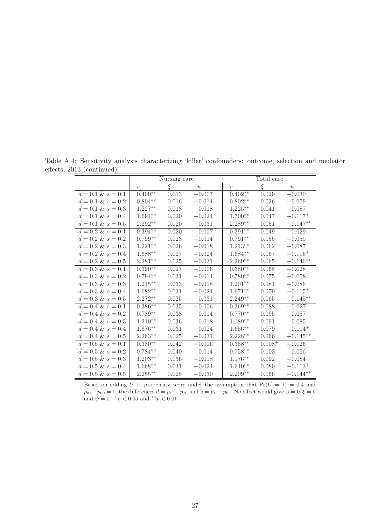Table A.4: Sensitivity analysis characterizing 'killer' confounders: outcome, selection and mediator effects, 2013 (continued)

|                       |                    | Nursing care |            |                    | Total care |              |
|-----------------------|--------------------|--------------|------------|--------------------|------------|--------------|
|                       | $\omega$           | $\xi$        | $\psi$     | $\omega$           | $\xi$      | $\psi$       |
| $d = 0.1 \& s = 0.1$  | $0.400**$          | 0.013        | $-0.007$   | $0.402**$          | 0.029      | $-0.030$     |
| $d = 0.1 \& s = 0.2$  | $0.804^{\ast\ast}$ | 0.016        | $-0.014$   | $0.802**$          | 0.036      | $-0.059$     |
| $d = 0.1 \& s = 0.3$  | $1.227**$          | 0.018        | $-0.018$   | $1.225^{\ast\ast}$ | 0.041      | $-0.087$     |
| $d = 0.1 \& s = 0.4$  | 1.694**            | 0.020        | $-0.024$   | $1.700**$          | 0.047      | $-0.117+$    |
| $d = 0.1 \& s = 0.5$  | $2.292**$          | 0.020        | $-0.031$   | $2.289**$          | 0.051      | $-0.147**$   |
| $d = 0.2 \& s = 0.1$  | $0.394**$          | 0.020        | $-0.007$   | $0.391**$          | 0.049      | $-0.029$     |
| $d = 0.2 \& s = 0.2$  | $0.799**$          | 0.023        | $-0.014$   | $0.791**$          | 0.055      | $-0.059$     |
| $d = 0.2 \& s = 0.3$  | $1.221**$          | 0.026        | $-0.018$   | $1.213**$          | 0.062      | $-0.087$     |
| $d = 0.2 \& s = 0.4$  | $1.688**$          | 0.027        | $-0.024$   | $1.684**$          | 0.067      | $-0.116+$    |
| $d = 0.2 \& s = 0.5$  | $2.281**$          | 0.025        | $-0.031$   | $2.269**$          | 0.065      | $-0.146**$   |
| $d = 0.3 \& s = 0.1$  | $0.390**$          | 0.027        | $-0.006$   | $0.380**$          | 0.068      | $-0.028$     |
| $d = 0.3 \& s = 0.2$  | $0.794**$          | 0.031        | $-0.014$   | $0.780**$          | 0.075      | $-0.058\,$   |
| $d = 0.3 \& s = 0.3$  | $1.215***$         | 0.033        | $-0.018\,$ | $1.201**$          | 0.081      | $-0.086$     |
| $d = 0.3 \& s = 0.4$  | $1.682**$          | 0.031        | $-0.024$   | $1.671^{\ast\ast}$ | 0.079      | $-0.115+$    |
| $d = 0.3 \& s = 0.5$  | $2.272**$          | 0.025        | $-0.031$   | $2.249**$          | 0.065      | $-0.145**$   |
| $d = 0.4 \& s = 0.1$  | $0.386**$          | 0.035        | $-0.006$   | $0.369**$          | 0.088      | $-0.027$     |
| $d = 0.4 \& s = 0.2$  | $0.789**$          | 0.038        | $-0.014$   | $0.770**$          | 0.095      | $-0.057$     |
| $d = 0.4 \& s = 0.3$  | $1.210**$          | $0.036\,$    | $-0.018$   | $1.189^{\ast\ast}$ | 0.091      | $-0.085$     |
| $d = 0.4 \& s = 0.4$  | $1.676**$          | 0.031        | $-0.024$   | $1.656**$          | 0.079      | $-0.114^{+}$ |
| $d = 0.4 \& s = 0.5$  | $2.263**$          | 0.025        | $-0.031$   | $2.228**$          | 0.066      | $-0.145**$   |
| $d = 0.5 \& s = 0.1$  | $0.380**$          | 0.042        | $-0.006$   | $0.358***$         | $0.108+$   | $-0.026$     |
| $d = 0.5 \& s = 0.2$  | $0.784**$          | 0.040        | $-0.014$   | $0.758^{\ast\ast}$ | 0.103      | $-0.056$     |
| $d = 0.5 \& s = 0.3$  | $1.203**$          | 0.036        | $-0.018$   | $1.176**$          | 0.092      | $-0.084$     |
| $d = 0.5$ & $s = 0.4$ | $1.668**$          | 0.031        | $-0.024$   | $1.640**$          | 0.080      | $-0.113+$    |
| $d = 0.5$ & $s = 0.5$ | $2.255***$         | 0.025        | $-0.030$   | $2.209**$          | 0.066      | $-0.144**$   |

Based on adding U to propensity score under the assumption that  $Pr(U = 1) = 0.4$  and  $p_{01}-p_{00}=0$ , the differences  $d = p_{11}-p_{10}$  and  $s = p_{1.}-p_{0.}$ . No effect would give  $\omega = 0, \xi = 0$ and  $\psi = 0.$  +  $p < 0.05$  and \*\* $p < 0.01$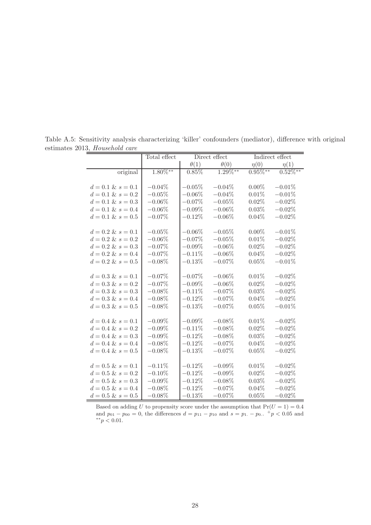|                       | Total effect | Direct effect |             | Indirect effect |               |
|-----------------------|--------------|---------------|-------------|-----------------|---------------|
|                       |              | $\theta(1)$   | $\theta(0)$ | $\eta(0)$       | $\eta(1)$     |
| original              | $1.80\%**$   | 0.85%         | $1.29\%**$  | $0.95\%^{**}$   | $0.52\%^{**}$ |
|                       |              |               |             |                 |               |
| $d = 0.1 \& s = 0.1$  | $-0.04\%$    | $-0.05\%$     | $-0.04%$    | $0.00\%$        | $-0.01%$      |
| $d = 0.1 \& s = 0.2$  | $-0.05%$     | $-0.06%$      | $-0.04\%$   | 0.01%           | $-0.01%$      |
| $d = 0.1 \& s = 0.3$  | $-0.06\%$    | $-0.07%$      | $-0.05%$    | $0.02\%$        | $-0.02%$      |
| $d = 0.1 \& s = 0.4$  | $-0.06\%$    | $-0.09%$      | $-0.06\%$   | 0.03%           | $-0.02\%$     |
| $d = 0.1 \& s = 0.5$  | $-0.07\%$    | $-0.12%$      | $-0.06\%$   | 0.04%           | $-0.02%$      |
|                       |              |               |             |                 |               |
| $d = 0.2 \& s = 0.1$  | $-0.05%$     | $-0.06%$      | $-0.05\%$   | $0.00\%$        | $-0.01%$      |
| $d = 0.2 \& s = 0.2$  | $-0.06\%$    | $-0.07\%$     | $-0.05%$    | 0.01%           | $-0.02\%$     |
| $d = 0.2 \& s = 0.3$  | $-0.07\%$    | $-0.09%$      | $-0.06\%$   | 0.02%           | $-0.02\%$     |
| $d = 0.2 \& s = 0.4$  | $-0.07\%$    | $-0.11\%$     | $-0.06\%$   | 0.04%           | $-0.02\%$     |
| $d = 0.2 \& s = 0.5$  | $-0.08\%$    | $-0.13%$      | $-0.07%$    | 0.05%           | $-0.01%$      |
|                       |              |               |             |                 |               |
| $d = 0.3 \& s = 0.1$  | $-0.07%$     | $-0.07%$      | $-0.06\%$   | 0.01%           | $-0.02%$      |
| $d = 0.3 \& s = 0.2$  | $-0.07\%$    | $-0.09\%$     | $-0.06\%$   | $0.02\%$        | $-0.02\%$     |
| $d = 0.3 \& s = 0.3$  | $-0.08\%$    | $-0.11%$      | $-0.07%$    | 0.03%           | $-0.02%$      |
| $d = 0.3 \& s = 0.4$  | $-0.08\%$    | $-0.12%$      | $-0.07%$    | 0.04%           | $-0.02%$      |
| $d = 0.3 \& s = 0.5$  | $-0.08\%$    | $-0.13%$      | $-0.07%$    | 0.05%           | $-0.01%$      |
|                       |              |               |             |                 |               |
| $d = 0.4 \& s = 0.1$  | $-0.09\%$    | $-0.09\%$     | $-0.08\%$   | 0.01%           | $-0.02\%$     |
| $d = 0.4 \& s = 0.2$  | $-0.09\%$    | $-0.11%$      | $-0.08\%$   | $0.02\%$        | $-0.02%$      |
| $d = 0.4 \& s = 0.3$  | $-0.09\%$    | $-0.12%$      | $-0.08\%$   | 0.03%           | $-0.02%$      |
| $d = 0.4 \& s = 0.4$  | $-0.08\%$    | $-0.12%$      | $-0.07%$    | 0.04%           | $-0.02%$      |
| $d = 0.4 \& s = 0.5$  | $-0.08\%$    | $-0.13%$      | $-0.07%$    | 0.05%           | $-0.02%$      |
|                       |              |               |             |                 |               |
| $d = 0.5 \& s = 0.1$  | $-0.11\%$    | $-0.12%$      | $-0.09\%$   | 0.01%           | $-0.02%$      |
| $d = 0.5$ & $s = 0.2$ | $-0.10\%$    | $-0.12%$      | $-0.09\%$   | 0.02%           | $-0.02%$      |
| $d = 0.5 \& s = 0.3$  | $-0.09%$     | $-0.12%$      | $-0.08\%$   | 0.03%           | $-0.02%$      |
| $d = 0.5$ & $s = 0.4$ | $-0.08\%$    | $-0.12%$      | $-0.07%$    | 0.04%           | $-0.02%$      |
| $d = 0.5 \& s = 0.5$  | $-0.08\%$    | $-0.13%$      | $-0.07%$    | 0.05%           | $-0.02%$      |

Table A.5: Sensitivity analysis characterizing 'killer' confounders (mediator), difference with original estimates 2013, Household care  $=$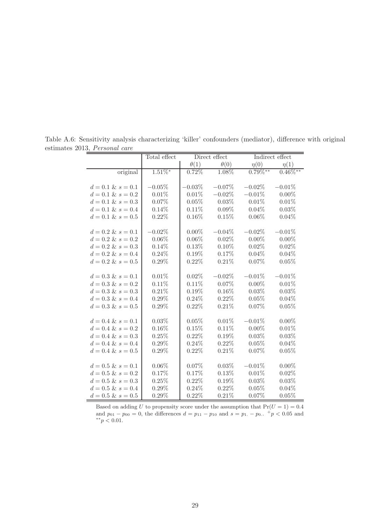|                       | Total effect | Direct effect |             | Indirect effect |               |
|-----------------------|--------------|---------------|-------------|-----------------|---------------|
|                       |              | $\theta(1)$   | $\theta(0)$ | $\eta(0)$       | $\eta(1)$     |
| original              | $1.51\%$ *   | 0.72%         | 1.08%       | $0.79\%^{**}$   | $0.46\%^{**}$ |
|                       |              |               |             |                 |               |
| $d = 0.1 \& s = 0.1$  | $-0.05\%$    | $-0.03\%$     | $-0.07%$    | $-0.02\%$       | $-0.01%$      |
| $d = 0.1 \& s = 0.2$  | 0.01%        | 0.01%         | $-0.02\%$   | $-0.01%$        | $0.00\%$      |
| $d = 0.1 \& s = 0.3$  | 0.07%        | 0.05%         | 0.03%       | 0.01%           | 0.01%         |
| $d = 0.1 \& s = 0.4$  | $0.14\%$     | 0.11%         | 0.09%       | 0.04%           | 0.03%         |
| $d = 0.1 \& s = 0.5$  | 0.22%        | 0.16%         | 0.15%       | 0.06%           | 0.04%         |
|                       |              |               |             |                 |               |
| $d = 0.2 \& s = 0.1$  | $-0.02\%$    | $0.00\%$      | $-0.04\%$   | $-0.02\%$       | $-0.01%$      |
| $d = 0.2 \& s = 0.2$  | $0.06\%$     | 0.06%         | $0.02\%$    | $0.00\%$        | $0.00\%$      |
| $d = 0.2 \& s = 0.3$  | 0.14%        | 0.13%         | 0.10%       | 0.02%           | 0.02%         |
| $d = 0.2 \& s = 0.4$  | 0.24%        | 0.19%         | 0.17%       | 0.04%           | 0.04%         |
| $d = 0.2 \& s = 0.5$  | $0.29\%$     | 0.22%         | 0.21%       | 0.07%           | 0.05%         |
|                       |              |               |             |                 |               |
| $d = 0.3 \& s = 0.1$  | 0.01%        | 0.02%         | $-0.02\%$   | $-0.01%$        | $-0.01%$      |
| $d = 0.3 \& s = 0.2$  | 0.11%        | 0.11%         | 0.07%       | $0.00\%$        | 0.01%         |
| $d = 0.3 \& s = 0.3$  | 0.21%        | 0.19%         | 0.16%       | 0.03%           | 0.03%         |
| $d = 0.3 \& s = 0.4$  | $0.29\%$     | 0.24%         | 0.22%       | 0.05%           | 0.04%         |
| $d = 0.3 \& s = 0.5$  | $0.29\%$     | 0.22%         | 0.21%       | 0.07%           | 0.05%         |
|                       |              |               |             |                 |               |
| $d = 0.4 \& s = 0.1$  | 0.03%        | 0.05%         | 0.01%       | $-0.01%$        | $0.00\%$      |
| $d = 0.4 \& s = 0.2$  | 0.16%        | 0.15%         | 0.11%       | $0.00\%$        | 0.01%         |
| $d = 0.4 \& s = 0.3$  | 0.25%        | 0.22%         | $0.19\%$    | 0.03%           | 0.03%         |
| $d = 0.4 \& s = 0.4$  | $0.29\%$     | 0.24%         | 0.22%       | 0.05%           | 0.04%         |
| $d = 0.4 \& s = 0.5$  | $0.29\%$     | 0.22%         | 0.21%       | 0.07%           | 0.05%         |
|                       |              |               |             |                 |               |
| $d = 0.5 \& s = 0.1$  | $0.06\%$     | 0.07%         | 0.03%       | $-0.01%$        | $0.00\%$      |
| $d = 0.5 \& s = 0.2$  | 0.17%        | 0.17%         | 0.13%       | 0.01%           | 0.02%         |
| $d = 0.5 \& s = 0.3$  | 0.25%        | 0.22%         | 0.19%       | 0.03%           | 0.03%         |
| $d = 0.5$ & $s = 0.4$ | $0.29\%$     | 0.24%         | 0.22%       | 0.05%           | 0.04%         |
| $d = 0.5 \& s = 0.5$  | $0.29\%$     | 0.22%         | 0.21%       | 0.07%           | 0.05%         |

Table A.6: Sensitivity analysis characterizing 'killer' confounders (mediator), difference with original estimates 2013, Personal care  $=$